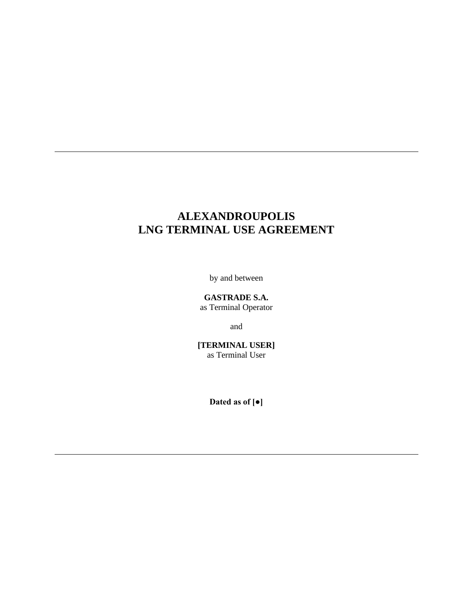# **ALEXANDROUPOLIS LNG TERMINAL USE AGREEMENT**

by and between

**GASTRADE S.A.** as Terminal Operator

and

**[TERMINAL USER]** as Terminal User

**Dated as of [●]**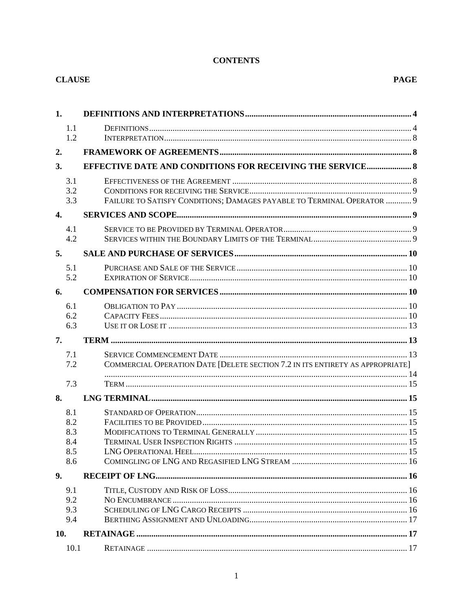# **CONTENTS**

| <b>CLAUSE</b>                          |                                                                               | <b>PAGE</b> |
|----------------------------------------|-------------------------------------------------------------------------------|-------------|
| 1.                                     |                                                                               |             |
| 1.1<br>1.2                             |                                                                               |             |
| 2.                                     |                                                                               |             |
| 3.                                     | <b>EFFECTIVE DATE AND CONDITIONS FOR RECEIVING THE SERVICE 8</b>              |             |
| 3.1<br>3.2<br>3.3                      | FAILURE TO SATISFY CONDITIONS; DAMAGES PAYABLE TO TERMINAL OPERATOR  9        |             |
| $\overline{4}$ .                       |                                                                               |             |
| 4.1<br>4.2                             |                                                                               |             |
| 5.                                     |                                                                               |             |
| 5.1<br>5.2                             |                                                                               |             |
| 6.                                     |                                                                               |             |
| 6.1<br>6.2<br>6.3                      |                                                                               |             |
| 7.                                     |                                                                               |             |
| 7.1<br>7.2                             | COMMERCIAL OPERATION DATE [DELETE SECTION 7.2 IN ITS ENTIRETY AS APPROPRIATE] |             |
| 7.3                                    |                                                                               |             |
| 8.                                     |                                                                               |             |
| 8.1<br>8.2<br>8.3<br>8.4<br>8.5<br>8.6 |                                                                               |             |
| 9.                                     |                                                                               |             |
| 9.1<br>9.2<br>9.3<br>9.4               |                                                                               |             |
| 10.                                    |                                                                               |             |
| 10.1                                   |                                                                               |             |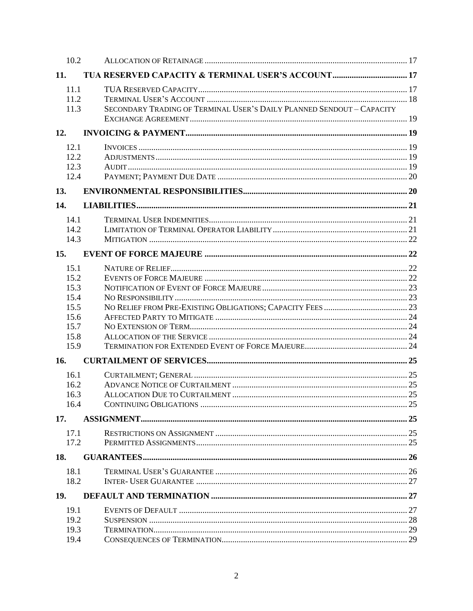| 10.2                                                                 |                                                                       |  |
|----------------------------------------------------------------------|-----------------------------------------------------------------------|--|
| 11.                                                                  |                                                                       |  |
| 11.1<br>11.2<br>11.3                                                 | SECONDARY TRADING OF TERMINAL USER'S DAILY PLANNED SENDOUT - CAPACITY |  |
| 12.                                                                  |                                                                       |  |
| 12.1<br>12.2<br>12.3<br>12.4                                         |                                                                       |  |
| 13.                                                                  |                                                                       |  |
| 14.<br>14.1<br>142<br>14.3                                           |                                                                       |  |
| 15.                                                                  |                                                                       |  |
| 15.1<br>15.2<br>15.3<br>15.4<br>15.5<br>15.6<br>15.7<br>15.8<br>15.9 |                                                                       |  |
| 16.                                                                  |                                                                       |  |
| 16.1<br>16.2<br>16.3<br>16.4                                         |                                                                       |  |
| 17.                                                                  |                                                                       |  |
| 17.1<br>17.2                                                         |                                                                       |  |
| 18.                                                                  |                                                                       |  |
| 18.1<br>18.2<br>19.                                                  |                                                                       |  |
| 19.1<br>19.2<br>19.3<br>19.4                                         |                                                                       |  |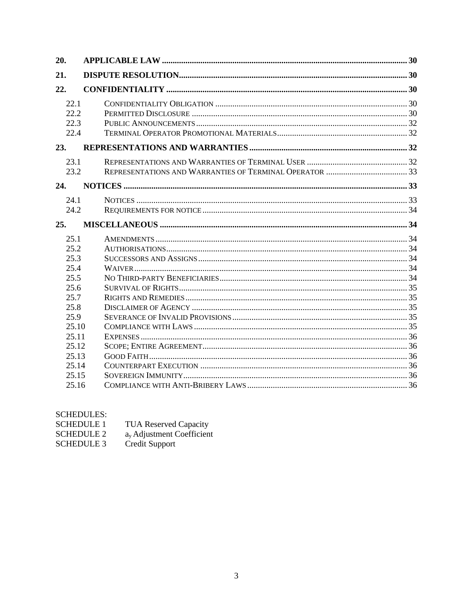| 20.                          |  |  |
|------------------------------|--|--|
| 21.                          |  |  |
| 22.                          |  |  |
| 22.1<br>22.2<br>22.3<br>22.4 |  |  |
| 23.                          |  |  |
| 23.1<br>23.2                 |  |  |
| 24.                          |  |  |
| 24.1<br>24.2                 |  |  |
| 25.                          |  |  |
| 25.1<br>25.2<br>25.3         |  |  |
| 25.4<br>25.5                 |  |  |
| 25.6<br>25.7<br>25.8         |  |  |
| 25.9<br>25.10<br>25.11       |  |  |
| 25.12<br>25.13               |  |  |
| 25.14<br>25.15<br>25.16      |  |  |

# **SCHEDULES:**

| <b>SCHEDULE 1</b> | <b>TUA Reserved Capacity</b> |
|-------------------|------------------------------|
| <b>SCHEDULE 2</b> | $av$ Adjustment Coefficient  |
| <b>SCHEDULE 3</b> | Credit Support               |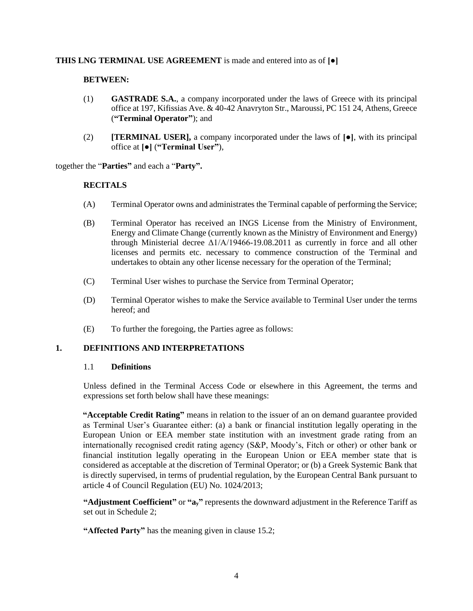#### **THIS LNG TERMINAL USE AGREEMENT** is made and entered into as of **[●]**

#### **BETWEEN:**

- (1) **GASTRADE S.A.**, a company incorporated under the laws of Greece with its principal office at 197, Kifissias Ave. & 40-42 Anavryton Str., Maroussi, PC 151 24, Athens, Greece (**"Terminal Operator"**); and
- (2) **[TERMINAL USER],** a company incorporated under the laws of **[●]**, with its principal office at **[●]** (**"Terminal User"**),

together the "**Parties"** and each a "**Party".**

#### **RECITALS**

- (A) Terminal Operator owns and administrates the Terminal capable of performing the Service;
- (B) Terminal Operator has received an INGS License from the Ministry of Environment, Energy and Climate Change (currently known as the Ministry of Environment and Energy) through Ministerial decree  $\Delta 1/A/19466-19.08.2011$  as currently in force and all other licenses and permits etc. necessary to commence construction of the Terminal and undertakes to obtain any other license necessary for the operation of the Terminal;
- (C) Terminal User wishes to purchase the Service from Terminal Operator;
- (D) Terminal Operator wishes to make the Service available to Terminal User under the terms hereof; and
- (E) To further the foregoing, the Parties agree as follows:

#### <span id="page-4-1"></span><span id="page-4-0"></span>**1. DEFINITIONS AND INTERPRETATIONS**

#### 1.1 **Definitions**

Unless defined in the Terminal Access Code or elsewhere in this Agreement, the terms and expressions set forth below shall have these meanings:

**"Acceptable Credit Rating"** means in relation to the issuer of an on demand guarantee provided as Terminal User's Guarantee either: (a) a bank or financial institution legally operating in the European Union or EEA member state institution with an investment grade rating from an internationally recognised credit rating agency (S&P, Moody's, Fitch or other) or other bank or financial institution legally operating in the European Union or EEA member state that is considered as acceptable at the discretion of Terminal Operator; or (b) a Greek Systemic Bank that is directly supervised, in terms of prudential regulation, by the European Central Bank pursuant to article 4 of Council Regulation (EU) No. 1024/2013;

**"Adjustment Coefficient"** or **"ay"** represents the downward adjustment in the Reference Tariff as set out in Schedule 2;

**"Affected Party"** has the meaning given in clause [15.2;](#page-22-3)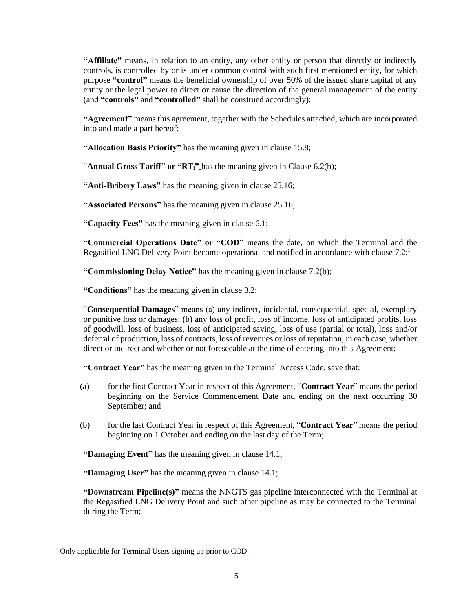**"Affiliate"** means, in relation to an entity, any other entity or person that directly or indirectly controls, is controlled by or is under common control with such first mentioned entity, for which purpose **"control"** means the beneficial ownership of over 50% of the issued share capital of any entity or the legal power to direct or cause the direction of the general management of the entity (and **"controls"** and **"controlled"** shall be construed accordingly);

**"Agreement"** means this agreement, together with the Schedules attached, which are incorporated into and made a part hereof;

**"Allocation Basis Priority"** has the meaning given in clause [15.8;](#page-24-2)

"**Annual Gross Tariff**" **or "RTi"** has the meaning given in Clause 6.2(b);

**"Anti-Bribery Laws"** has the meaning given in claus[e 25.16;](#page-36-5)

**"Associated Persons"** has the meaning given in clause [25.16;](#page-36-5)

**"Capacity Fees"** has the meaning given in clause [6.1;](#page-10-4)

**"Commercial Operations Date" or "COD"** means the date, on which the Terminal and the Regasified LNG Delivery Point become operational and notified in accordance with clause [7.2;](#page-14-0)<sup>1</sup>

**"Commissioning Delay Notice"** has the meaning given in clause [7.2\(b\);](#page-14-1)

**"Conditions"** has the meaning given in clause [3.2;](#page-9-0)

"**Consequential Damages**" means (a) any indirect, incidental, consequential, special, exemplary or punitive loss or damages; (b) any loss of profit, loss of income, loss of anticipated profits, loss of goodwill, loss of business, loss of anticipated saving, loss of use (partial or total), loss and/or deferral of production, loss of contracts, loss of revenues or loss of reputation, in each case, whether direct or indirect and whether or not foreseeable at the time of entering into this Agreement;

**"Contract Year"** has the meaning given in the Terminal Access Code, save that:

- (a) for the first Contract Year in respect of this Agreement, "**Contract Year**" means the period beginning on the Service Commencement Date and ending on the next occurring 30 September; and
- (b) for the last Contract Year in respect of this Agreement, "**Contract Year**" means the period beginning on 1 October and ending on the last day of the Term;

**"Damaging Event"** has the meaning given in clause [14.1;](#page-21-1)

**"Damaging User"** has the meaning given in claus[e 14.1;](#page-21-1)

**"Downstream Pipeline(s)"** means the NNGTS gas pipeline interconnected with the Terminal at the Regasified LNG Delivery Point and such other pipeline as may be connected to the Terminal during the Term;

<sup>&</sup>lt;sup>1</sup> Only applicable for Terminal Users signing up prior to COD.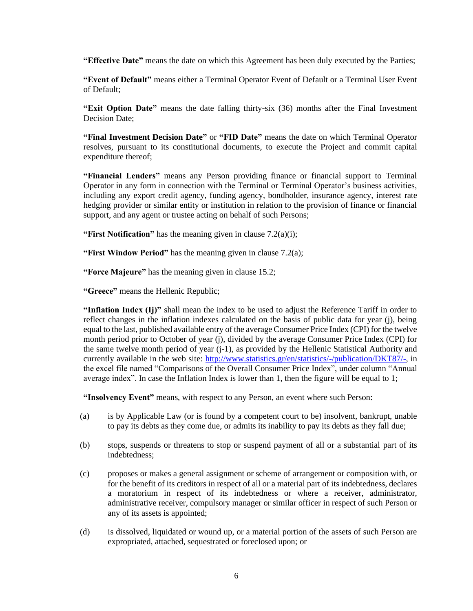**"Effective Date"** means the date on which this Agreement has been duly executed by the Parties;

**"Event of Default"** means either a Terminal Operator Event of Default or a Terminal User Event of Default;

**"Exit Option Date"** means the date falling thirty-six (36) months after the Final Investment Decision Date;

**"Final Investment Decision Date"** or **"FID Date"** means the date on which Terminal Operator resolves, pursuant to its constitutional documents, to execute the Project and commit capital expenditure thereof;

**"Financial Lenders"** means any Person providing finance or financial support to Terminal Operator in any form in connection with the Terminal or Terminal Operator's business activities, including any export credit agency, funding agency, bondholder, insurance agency, interest rate hedging provider or similar entity or institution in relation to the provision of finance or financial support, and any agent or trustee acting on behalf of such Persons;

**"First Notification"** has the meaning given in claus[e 7.2\(a\)\(i\);](#page-14-2)

**"First Window Period"** has the meaning given in clause [7.2\(a\);](#page-14-3)

**"Force Majeure"** has the meaning given in clause [15.2;](#page-22-3)

**"Greece"** means the Hellenic Republic;

**"Inflation Index (Ij)"** shall mean the index to be used to adjust the Reference Tariff in order to reflect changes in the inflation indexes calculated on the basis of public data for year (j), being equal to the last, published available entry of the average Consumer Price Index (CPI) for the twelve month period prior to October of year (j), divided by the average Consumer Price Index (CPI) for the same twelve month period of year (j-1), as provided by the Hellenic Statistical Authority and currently available in the web site: [http://www.statistics.gr/en/statistics/-/publication/DKT87/-,](http://www.statistics.gr/en/statistics/-/publication/DKT87/-) in the excel file named "Comparisons of the Overall Consumer Price Index", under column "Annual average index". In case the Inflation Index is lower than 1, then the figure will be equal to 1;

**"Insolvency Event"** means, with respect to any Person, an event where such Person:

- (a) is by Applicable Law (or is found by a competent court to be) insolvent, bankrupt, unable to pay its debts as they come due, or admits its inability to pay its debts as they fall due;
- (b) stops, suspends or threatens to stop or suspend payment of all or a substantial part of its indebtedness;
- (c) proposes or makes a general assignment or scheme of arrangement or composition with, or for the benefit of its creditors in respect of all or a material part of its indebtedness, declares a moratorium in respect of its indebtedness or where a receiver, administrator, administrative receiver, compulsory manager or similar officer in respect of such Person or any of its assets is appointed;
- (d) is dissolved, liquidated or wound up, or a material portion of the assets of such Person are expropriated, attached, sequestrated or foreclosed upon; or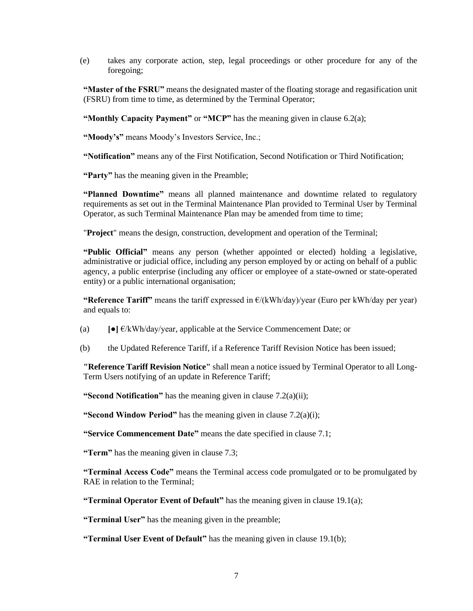(e) takes any corporate action, step, legal proceedings or other procedure for any of the foregoing;

**"Master of the FSRU"** means the designated master of the floating storage and regasification unit (FSRU) from time to time, as determined by the Terminal Operator;

**"Monthly Capacity Payment"** or "MCP" has the meaning given in clause 6.2(a);

**"Moody's"** means Moody's Investors Service, Inc.;

**"Notification"** means any of the First Notification, Second Notification or Third Notification;

**"Party"** has the meaning given in the Preamble;

**"Planned Downtime"** means all planned maintenance and downtime related to regulatory requirements as set out in the Terminal Maintenance Plan provided to Terminal User by Terminal Operator, as such Terminal Maintenance Plan may be amended from time to time;

"**Project**" means the design, construction, development and operation of the Terminal;

**"Public Official"** means any person (whether appointed or elected) holding a legislative, administrative or judicial office, including any person employed by or acting on behalf of a public agency, a public enterprise (including any officer or employee of a state-owned or state-operated entity) or a public international organisation;

**"Reference Tariff"** means the tariff expressed in  $E/(kWh/day)/year$  (Euro per kWh/day per year) and equals to:

(a)  $\bullet$   $\bullet$   $\bullet$   $\bullet$   $\&$  Wh/day/year, applicable at the Service Commencement Date; or

(b) the Updated Reference Tariff, if a Reference Tariff Revision Notice has been issued;

**"Reference Tariff Revision Notice"** shall mean a notice issued by Terminal Operator to all Long-Term Users notifying of an update in Reference Tariff;

**"Second Notification"** has the meaning given in clause [7.2\(a\)\(ii\);](#page-14-4)

**"Second Window Period"** has the meaning given in clause [7.2\(a\)\(i\);](#page-14-2)

**"Service Commencement Date"** means the date specified in clause [7.1;](#page-13-2)

**"Term"** has the meaning given in clause 7.3;

**"Terminal Access Code"** means the Terminal access code promulgated or to be promulgated by RAE in relation to the Terminal:

**"Terminal Operator Event of Default"** has the meaning given in clause [19.1\(a\);](#page-27-3)

**"Terminal User"** has the meaning given in the preamble;

**"Terminal User Event of Default"** has the meaning given in clause [19.1\(b\);](#page-28-1)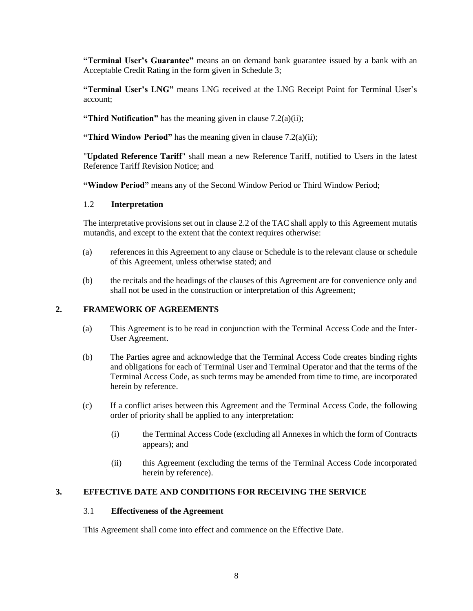**"Terminal User's Guarantee"** means an on demand bank guarantee issued by a bank with an Acceptable Credit Rating in the form given in Schedule 3;

**"Terminal User's LNG"** means LNG received at the LNG Receipt Point for Terminal User's account;

**"Third Notification"** has the meaning given in claus[e 7.2\(a\)\(ii\);](#page-14-4)

**"Third Window Period"** has the meaning given in claus[e 7.2\(a\)\(ii\);](#page-14-4)

"**Updated Reference Tariff**" shall mean a new Reference Tariff, notified to Users in the latest Reference Tariff Revision Notice; and

**"Window Period"** means any of the Second Window Period or Third Window Period;

#### <span id="page-8-0"></span>1.2 **Interpretation**

The interpretative provisions set out in clause 2.2 of the TAC shall apply to this Agreement mutatis mutandis, and except to the extent that the context requires otherwise:

- (a) references in this Agreement to any clause or Schedule is to the relevant clause or schedule of this Agreement, unless otherwise stated; and
- (b) the recitals and the headings of the clauses of this Agreement are for convenience only and shall not be used in the construction or interpretation of this Agreement;

### <span id="page-8-1"></span>**2. FRAMEWORK OF AGREEMENTS**

- (a) This Agreement is to be read in conjunction with the Terminal Access Code and the Inter-User Agreement.
- (b) The Parties agree and acknowledge that the Terminal Access Code creates binding rights and obligations for each of Terminal User and Terminal Operator and that the terms of the Terminal Access Code, as such terms may be amended from time to time, are incorporated herein by reference.
- (c) If a conflict arises between this Agreement and the Terminal Access Code, the following order of priority shall be applied to any interpretation:
	- (i) the Terminal Access Code (excluding all Annexes in which the form of Contracts appears); and
	- (ii) this Agreement (excluding the terms of the Terminal Access Code incorporated herein by reference).

# <span id="page-8-3"></span><span id="page-8-2"></span>**3. EFFECTIVE DATE AND CONDITIONS FOR RECEIVING THE SERVICE**

#### 3.1 **Effectiveness of the Agreement**

This Agreement shall come into effect and commence on the Effective Date.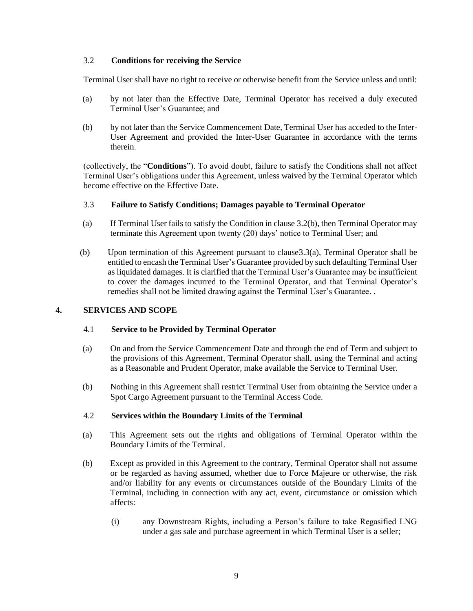#### <span id="page-9-0"></span>3.2 **Conditions for receiving the Service**

Terminal User shall have no right to receive or otherwise benefit from the Service unless and until:

- (a) by not later than the Effective Date, Terminal Operator has received a duly executed Terminal User's Guarantee; and
- <span id="page-9-5"></span>(b) by not later than the Service Commencement Date, Terminal User has acceded to the Inter-User Agreement and provided the Inter-User Guarantee in accordance with the terms therein.

(collectively, the "**Conditions**"). To avoid doubt, failure to satisfy the Conditions shall not affect Terminal User's obligations under this Agreement, unless waived by the Terminal Operator which become effective on the Effective Date.

### <span id="page-9-1"></span>3.3 **Failure to Satisfy Conditions; Damages payable to Terminal Operator**

- <span id="page-9-6"></span>(a) If Terminal User fails to satisfy the Condition in clause [3.2\(b\),](#page-9-5) then Terminal Operator may terminate this Agreement upon twenty (20) days' notice to Terminal User; and
- (b) Upon termination of this Agreement pursuant to claus[e3.3](#page-9-1)[\(a\),](#page-9-6) Terminal Operator shall be entitled to encash the Terminal User's Guarantee provided by such defaulting Terminal User as liquidated damages. It is clarified that the Terminal User's Guarantee may be insufficient to cover the damages incurred to the Terminal Operator, and that Terminal Operator's remedies shall not be limited drawing against the Terminal User's Guarantee. .

### <span id="page-9-3"></span><span id="page-9-2"></span>**4. SERVICES AND SCOPE**

#### 4.1 **Service to be Provided by Terminal Operator**

- (a) On and from the Service Commencement Date and through the end of Term and subject to the provisions of this Agreement, Terminal Operator shall, using the Terminal and acting as a Reasonable and Prudent Operator, make available the Service to Terminal User.
- (b) Nothing in this Agreement shall restrict Terminal User from obtaining the Service under a Spot Cargo Agreement pursuant to the Terminal Access Code.

#### <span id="page-9-4"></span>4.2 **Services within the Boundary Limits of the Terminal**

- (a) This Agreement sets out the rights and obligations of Terminal Operator within the Boundary Limits of the Terminal.
- (b) Except as provided in this Agreement to the contrary, Terminal Operator shall not assume or be regarded as having assumed, whether due to Force Majeure or otherwise, the risk and/or liability for any events or circumstances outside of the Boundary Limits of the Terminal, including in connection with any act, event, circumstance or omission which affects:
	- (i) any Downstream Rights, including a Person's failure to take Regasified LNG under a gas sale and purchase agreement in which Terminal User is a seller;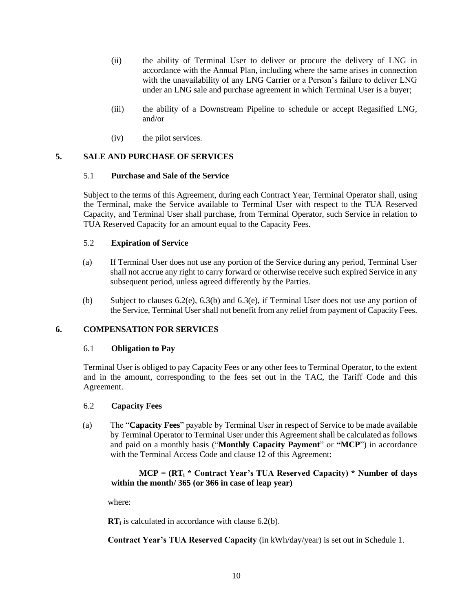- (ii) the ability of Terminal User to deliver or procure the delivery of LNG in accordance with the Annual Plan, including where the same arises in connection with the unavailability of any LNG Carrier or a Person's failure to deliver LNG under an LNG sale and purchase agreement in which Terminal User is a buyer;
- (iii) the ability of a Downstream Pipeline to schedule or accept Regasified LNG, and/or
- (iv) the pilot services.

### <span id="page-10-1"></span><span id="page-10-0"></span>**5. SALE AND PURCHASE OF SERVICES**

#### 5.1 **Purchase and Sale of the Service**

Subject to the terms of this Agreement, during each Contract Year, Terminal Operator shall, using the Terminal, make the Service available to Terminal User with respect to the TUA Reserved Capacity, and Terminal User shall purchase, from Terminal Operator, such Service in relation to TUA Reserved Capacity for an amount equal to the Capacity Fees.

### <span id="page-10-2"></span>5.2 **Expiration of Service**

- (a) If Terminal User does not use any portion of the Service during any period, Terminal User shall not accrue any right to carry forward or otherwise receive such expired Service in any subsequent period, unless agreed differently by the Parties.
- (b) Subject to clauses 6.2(e), 6.3(b) and 6.3(e), if Terminal User does not use any portion of the Service, Terminal User shall not benefit from any relief from payment of Capacity Fees.

# <span id="page-10-4"></span><span id="page-10-3"></span>**6. COMPENSATION FOR SERVICES**

#### 6.1 **Obligation to Pay**

Terminal User is obliged to pay Capacity Fees or any other fees to Terminal Operator, to the extent and in the amount, corresponding to the fees set out in the TAC, the Tariff Code and this Agreement.

#### <span id="page-10-5"></span>6.2 **Capacity Fees**

(a) The "**Capacity Fees**" payable by Terminal User in respect of Service to be made available by Terminal Operator to Terminal User under this Agreement shall be calculated as follows and paid on a monthly basis ("**Monthly Capacity Payment**" or **"MCP**") in accordance with the Terminal Access Code and clause 12 of this Agreement:

### **MCP = (RT<sup>i</sup> \* Contract Year's TUA Reserved Capacity) \* Number of days within the month/ 365 (or 366 in case of leap year)**

where:

**RT**<sup>i</sup> is calculated in accordance with clause [6.2](#page-10-5)[\(b\).](#page-11-0)

**Contract Year's TUA Reserved Capacity** (in kWh/day/year) is set out in Schedule 1.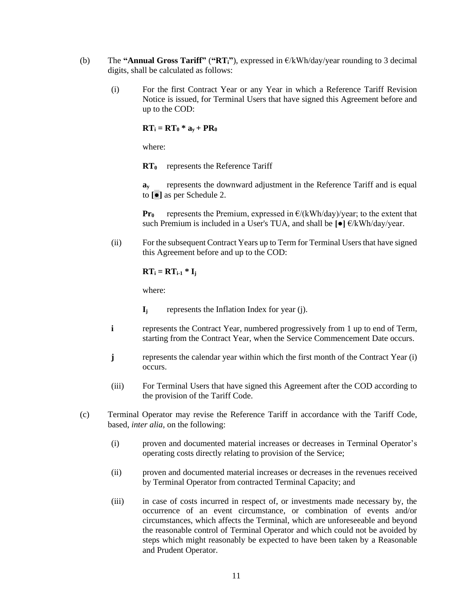- <span id="page-11-0"></span>(b) The **"Annual Gross Tariff"** (**"RTi"**), expressed in €/kWh/day/year rounding to 3 decimal digits, shall be calculated as follows:
	- (i) For the first Contract Year or any Year in which a Reference Tariff Revision Notice is issued, for Terminal Users that have signed this Agreement before and up to the COD:

 $RT_i = RT_0 * a_v + PR_0$ 

where:

**RT<sup>0</sup>** represents the Reference Tariff

**a<sup>y</sup>** represents the downward adjustment in the Reference Tariff and is equal to **[●]** as per Schedule 2.

**Pr<sub>0</sub>** represents the Premium, expressed in  $E/(kWh/day)/year$ ; to the extent that such Premium is included in a User's TUA, and shall be **[●]** €/kWh/day/year.

(ii) For the subsequent Contract Years up to Term for Terminal Users that have signed this Agreement before and up to the COD:

 $RT_i = RT_{i-1} * I_i$ 

where:

- **i** represents the Contract Year, numbered progressively from 1 up to end of Term, starting from the Contract Year, when the Service Commencement Date occurs.
- **j** represents the calendar year within which the first month of the Contract Year (i) occurs.
- (iii) For Terminal Users that have signed this Agreement after the COD according to the provision of the Tariff Code.
- (c) Terminal Operator may revise the Reference Tariff in accordance with the Tariff Code, based, *inter alia*, on the following:
	- (i) proven and documented material increases or decreases in Terminal Operator's operating costs directly relating to provision of the Service;
	- (ii) proven and documented material increases or decreases in the revenues received by Terminal Operator from contracted Terminal Capacity; and
	- (iii) in case of costs incurred in respect of, or investments made necessary by, the occurrence of an event circumstance, or combination of events and/or circumstances, which affects the Terminal, which are unforeseeable and beyond the reasonable control of Terminal Operator and which could not be avoided by steps which might reasonably be expected to have been taken by a Reasonable and Prudent Operator.

**I<sup>j</sup>** represents the Inflation Index for year (j).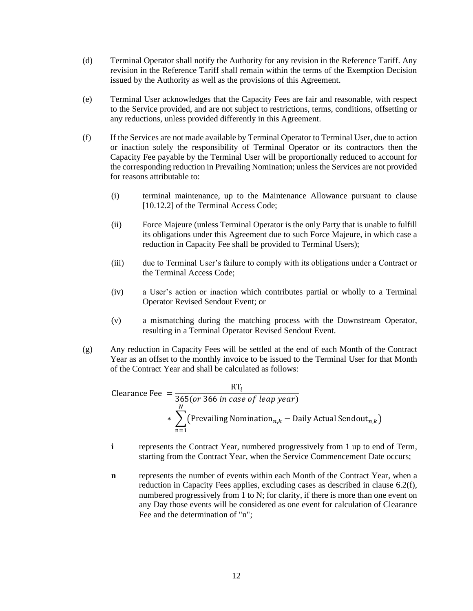- (d) Terminal Operator shall notify the Authority for any revision in the Reference Tariff. Any revision in the Reference Tariff shall remain within the terms of the Exemption Decision issued by the Authority as well as the provisions of this Agreement.
- (e) Terminal User acknowledges that the Capacity Fees are fair and reasonable, with respect to the Service provided, and are not subject to restrictions, terms, conditions, offsetting or any reductions, unless provided differently in this Agreement.
- <span id="page-12-0"></span>(f) If the Services are not made available by Terminal Operator to Terminal User, due to action or inaction solely the responsibility of Terminal Operator or its contractors then the Capacity Fee payable by the Terminal User will be proportionally reduced to account for the corresponding reduction in Prevailing Nomination; unless the Services are not provided for reasons attributable to:
	- (i) terminal maintenance, up to the Maintenance Allowance pursuant to clause [10.12.2] of the Terminal Access Code;
	- (ii) Force Majeure (unless Terminal Operator is the only Party that is unable to fulfill its obligations under this Agreement due to such Force Majeure, in which case a reduction in Capacity Fee shall be provided to Terminal Users);
	- (iii) due to Terminal User's failure to comply with its obligations under a Contract or the Terminal Access Code;
	- (iv) a User's action or inaction which contributes partial or wholly to a Terminal Operator Revised Sendout Event; or
	- (v) a mismatching during the matching process with the Downstream Operator, resulting in a Terminal Operator Revised Sendout Event.
- (g) Any reduction in Capacity Fees will be settled at the end of each Month of the Contract Year as an offset to the monthly invoice to be issued to the Terminal User for that Month of the Contract Year and shall be calculated as follows:

Clearance 
$$
See = \frac{RT_i}{365 (or 366 in case of leap year)}
$$

\n\* 
$$
\sum_{n=1}^{N} \left( \text{Prevailing Nomination}_{n,k} - \text{Daily Actual Sendout}_{n,k} \right)
$$

- **i** represents the Contract Year, numbered progressively from 1 up to end of Term, starting from the Contract Year, when the Service Commencement Date occurs;
- **n** represents the number of events within each Month of the Contract Year, when a reduction in Capacity Fees applies, excluding cases as described in clause [6.2\(f\),](#page-12-0) numbered progressively from 1 to N; for clarity, if there is more than one event on any Day those events will be considered as one event for calculation of Clearance Fee and the determination of "n";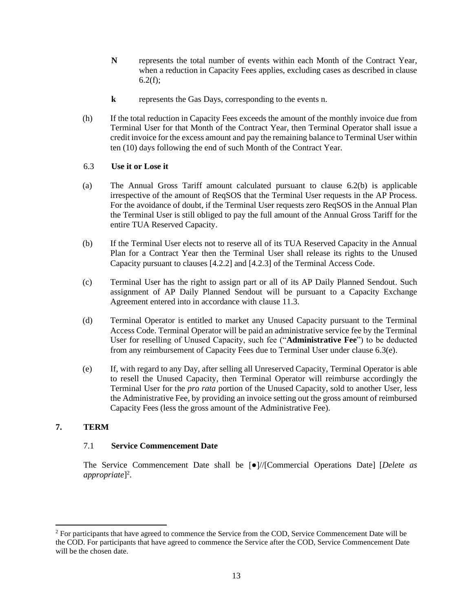- **N** represents the total number of events within each Month of the Contract Year, when a reduction in Capacity Fees applies, excluding cases as described in clause  $6.2(f);$
- **k** represents the Gas Days, corresponding to the events n.
- (h) If the total reduction in Capacity Fees exceeds the amount of the monthly invoice due from Terminal User for that Month of the Contract Year, then Terminal Operator shall issue a credit invoice for the excess amount and pay the remaining balance to Terminal User within ten (10) days following the end of such Month of the Contract Year.

#### <span id="page-13-0"></span>6.3 **Use it or Lose it**

- (a) The Annual Gross Tariff amount calculated pursuant to clause [6.2\(b\)](#page-11-0) is applicable irrespective of the amount of ReqSOS that the Terminal User requests in the AP Process. For the avoidance of doubt, if the Terminal User requests zero ReqSOS in the Annual Plan the Terminal User is still obliged to pay the full amount of the Annual Gross Tariff for the entire TUA Reserved Capacity.
- (b) If the Terminal User elects not to reserve all of its TUA Reserved Capacity in the Annual Plan for a Contract Year then the Terminal User shall release its rights to the Unused Capacity pursuant to clauses [4.2.2] and [4.2.3] of the Terminal Access Code.
- (c) Terminal User has the right to assign part or all of its AP Daily Planned Sendout. Such assignment of AP Daily Planned Sendout will be pursuant to a Capacity Exchange Agreement entered into in accordance with clause [11.3.](#page-19-0)
- (d) Terminal Operator is entitled to market any Unused Capacity pursuant to the Terminal Access Code. Terminal Operator will be paid an administrative service fee by the Terminal User for reselling of Unused Capacity, such fee ("**Administrative Fee**") to be deducted from any reimbursement of Capacity Fees due to Terminal User under claus[e 6.3\(e\).](#page-13-3)
- <span id="page-13-3"></span>(e) If, with regard to any Day, after selling all Unreserved Capacity, Terminal Operator is able to resell the Unused Capacity, then Terminal Operator will reimburse accordingly the Terminal User for the *pro rata* portion of the Unused Capacity, sold to another User, less the Administrative Fee, by providing an invoice setting out the gross amount of reimbursed Capacity Fees (less the gross amount of the Administrative Fee).

# <span id="page-13-2"></span><span id="page-13-1"></span>**7. TERM**

#### 7.1 **Service Commencement Date**

The Service Commencement Date shall be [●]//[Commercial Operations Date] [*Delete as appropriate*] 2 .

<sup>&</sup>lt;sup>2</sup> For participants that have agreed to commence the Service from the COD, Service Commencement Date will be the COD. For participants that have agreed to commence the Service after the COD, Service Commencement Date will be the chosen date.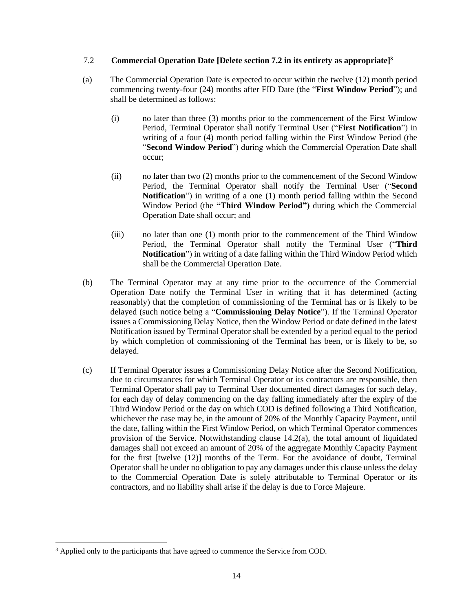#### <span id="page-14-0"></span>7.2 **Commercial Operation Date [Delete section 7.2 in its entirety as appropriate]<sup>3</sup>**

- <span id="page-14-4"></span><span id="page-14-3"></span><span id="page-14-2"></span>(a) The Commercial Operation Date is expected to occur within the twelve (12) month period commencing twenty-four (24) months after FID Date (the "**First Window Period**"); and shall be determined as follows:
	- (i) no later than three (3) months prior to the commencement of the First Window Period, Terminal Operator shall notify Terminal User ("**First Notification**") in writing of a four (4) month period falling within the First Window Period (the "**Second Window Period**") during which the Commercial Operation Date shall occur;
	- (ii) no later than two (2) months prior to the commencement of the Second Window Period, the Terminal Operator shall notify the Terminal User ("**Second Notification**") in writing of a one (1) month period falling within the Second Window Period (the **"Third Window Period")** during which the Commercial Operation Date shall occur; and
	- (iii) no later than one (1) month prior to the commencement of the Third Window Period, the Terminal Operator shall notify the Terminal User ("**Third Notification**") in writing of a date falling within the Third Window Period which shall be the Commercial Operation Date.
- <span id="page-14-1"></span>(b) The Terminal Operator may at any time prior to the occurrence of the Commercial Operation Date notify the Terminal User in writing that it has determined (acting reasonably) that the completion of commissioning of the Terminal has or is likely to be delayed (such notice being a "**Commissioning Delay Notice**"). If the Terminal Operator issues a Commissioning Delay Notice, then the Window Period or date defined in the latest Notification issued by Terminal Operator shall be extended by a period equal to the period by which completion of commissioning of the Terminal has been, or is likely to be, so delayed.
- <span id="page-14-5"></span>(c) If Terminal Operator issues a Commissioning Delay Notice after the Second Notification, due to circumstances for which Terminal Operator or its contractors are responsible, then Terminal Operator shall pay to Terminal User documented direct damages for such delay, for each day of delay commencing on the day falling immediately after the expiry of the Third Window Period or the day on which COD is defined following a Third Notification, whichever the case may be, in the amount of 20% of the Monthly Capacity Payment, until the date, falling within the First Window Period, on which Terminal Operator commences provision of the Service. Notwithstanding clause [14.2\(a\),](#page-21-3) the total amount of liquidated damages shall not exceed an amount of 20% of the aggregate Monthly Capacity Payment for the first [twelve (12)] months of the Term. For the avoidance of doubt, Terminal Operator shall be under no obligation to pay any damages under this clause unless the delay to the Commercial Operation Date is solely attributable to Terminal Operator or its contractors, and no liability shall arise if the delay is due to Force Majeure.

<sup>&</sup>lt;sup>3</sup> Applied only to the participants that have agreed to commence the Service from COD.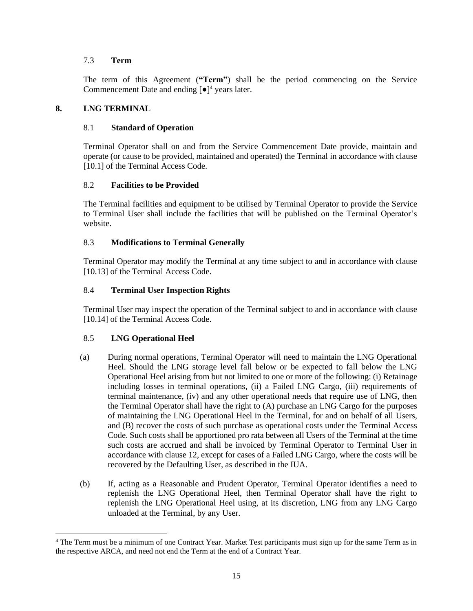### <span id="page-15-0"></span>7.3 **Term**

The term of this Agreement (**"Term"**) shall be the period commencing on the Service Commencement Date and ending  $\lceil \bullet \rceil^4$  years later.

### <span id="page-15-2"></span><span id="page-15-1"></span>**8. LNG TERMINAL**

### 8.1 **Standard of Operation**

Terminal Operator shall on and from the Service Commencement Date provide, maintain and operate (or cause to be provided, maintained and operated) the Terminal in accordance with clause [10.1] of the Terminal Access Code.

### <span id="page-15-3"></span>8.2 **Facilities to be Provided**

The Terminal facilities and equipment to be utilised by Terminal Operator to provide the Service to Terminal User shall include the facilities that will be published on the Terminal Operator's website.

# <span id="page-15-4"></span>8.3 **Modifications to Terminal Generally**

Terminal Operator may modify the Terminal at any time subject to and in accordance with clause [10.13] of the Terminal Access Code.

### <span id="page-15-5"></span>8.4 **Terminal User Inspection Rights**

Terminal User may inspect the operation of the Terminal subject to and in accordance with clause [10.14] of the Terminal Access Code.

# <span id="page-15-6"></span>8.5 **LNG Operational Heel**

- (a) During normal operations, Terminal Operator will need to maintain the LNG Operational Heel. Should the LNG storage level fall below or be expected to fall below the LNG Operational Heel arising from but not limited to one or more of the following: (i) Retainage including losses in terminal operations, (ii) a Failed LNG Cargo, (iii) requirements of terminal maintenance, (iv) and any other operational needs that require use of LNG, then the Terminal Operator shall have the right to (A) purchase an LNG Cargo for the purposes of maintaining the LNG Operational Heel in the Terminal, for and on behalf of all Users, and (B) recover the costs of such purchase as operational costs under the Terminal Access Code. Such costs shall be apportioned pro rata between all Users of the Terminal at the time such costs are accrued and shall be invoiced by Terminal Operator to Terminal User in accordance with clause [12,](#page-19-1) except for cases of a Failed LNG Cargo, where the costs will be recovered by the Defaulting User, as described in the IUA.
- (b) If, acting as a Reasonable and Prudent Operator, Terminal Operator identifies a need to replenish the LNG Operational Heel, then Terminal Operator shall have the right to replenish the LNG Operational Heel using, at its discretion, LNG from any LNG Cargo unloaded at the Terminal, by any User.

<sup>&</sup>lt;sup>4</sup> The Term must be a minimum of one Contract Year. Market Test participants must sign up for the same Term as in the respective ARCA, and need not end the Term at the end of a Contract Year.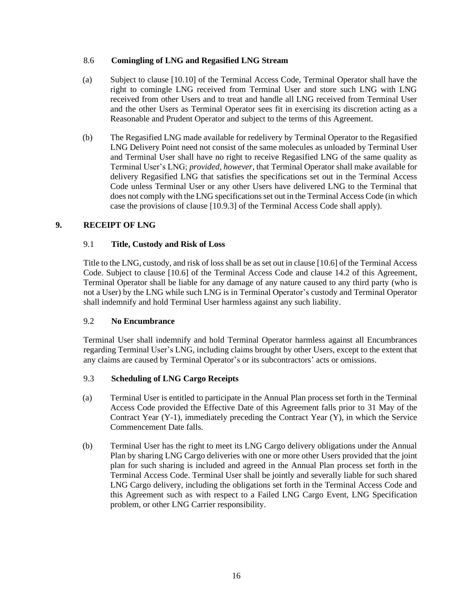#### <span id="page-16-0"></span>8.6 **Comingling of LNG and Regasified LNG Stream**

- (a) Subject to clause [10.10] of the Terminal Access Code, Terminal Operator shall have the right to comingle LNG received from Terminal User and store such LNG with LNG received from other Users and to treat and handle all LNG received from Terminal User and the other Users as Terminal Operator sees fit in exercising its discretion acting as a Reasonable and Prudent Operator and subject to the terms of this Agreement.
- (b) The Regasified LNG made available for redelivery by Terminal Operator to the Regasified LNG Delivery Point need not consist of the same molecules as unloaded by Terminal User and Terminal User shall have no right to receive Regasified LNG of the same quality as Terminal User's LNG; *provided, however*, that Terminal Operator shall make available for delivery Regasified LNG that satisfies the specifications set out in the Terminal Access Code unless Terminal User or any other Users have delivered LNG to the Terminal that does not comply with the LNG specifications set out in the Terminal Access Code (in which case the provisions of clause [10.9.3] of the Terminal Access Code shall apply).

# <span id="page-16-2"></span><span id="page-16-1"></span>**9. RECEIPT OF LNG**

# 9.1 **Title, Custody and Risk of Loss**

Title to the LNG, custody, and risk of loss shall be as set out in clause [10.6] of the Terminal Access Code. Subject to clause [10.6] of the Terminal Access Code and clause [14.2](#page-21-2) of this Agreement, Terminal Operator shall be liable for any damage of any nature caused to any third party (who is not a User) by the LNG while such LNG is in Terminal Operator's custody and Terminal Operator shall indemnify and hold Terminal User harmless against any such liability.

# <span id="page-16-3"></span>9.2 **No Encumbrance**

Terminal User shall indemnify and hold Terminal Operator harmless against all Encumbrances regarding Terminal User's LNG, including claims brought by other Users, except to the extent that any claims are caused by Terminal Operator's or its subcontractors' acts or omissions.

# <span id="page-16-4"></span>9.3 **Scheduling of LNG Cargo Receipts**

- (a) Terminal User is entitled to participate in the Annual Plan process set forth in the Terminal Access Code provided the Effective Date of this Agreement falls prior to 31 May of the Contract Year (Y-1), immediately preceding the Contract Year (Y), in which the Service Commencement Date falls.
- (b) Terminal User has the right to meet its LNG Cargo delivery obligations under the Annual Plan by sharing LNG Cargo deliveries with one or more other Users provided that the joint plan for such sharing is included and agreed in the Annual Plan process set forth in the Terminal Access Code. Terminal User shall be jointly and severally liable for such shared LNG Cargo delivery, including the obligations set forth in the Terminal Access Code and this Agreement such as with respect to a Failed LNG Cargo Event, LNG Specification problem, or other LNG Carrier responsibility.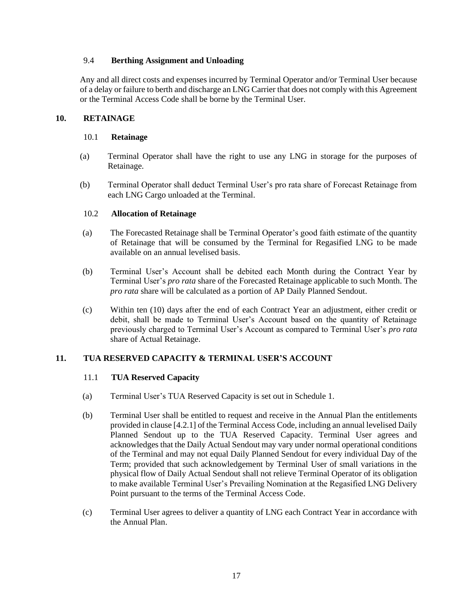### <span id="page-17-0"></span>9.4 **Berthing Assignment and Unloading**

Any and all direct costs and expenses incurred by Terminal Operator and/or Terminal User because of a delay or failure to berth and discharge an LNG Carrier that does not comply with this Agreement or the Terminal Access Code shall be borne by the Terminal User.

#### <span id="page-17-2"></span><span id="page-17-1"></span>**10. RETAINAGE**

#### 10.1 **Retainage**

- (a) Terminal Operator shall have the right to use any LNG in storage for the purposes of Retainage.
- (b) Terminal Operator shall deduct Terminal User's pro rata share of Forecast Retainage from each LNG Cargo unloaded at the Terminal.

#### <span id="page-17-3"></span>10.2 **Allocation of Retainage**

- (a) The Forecasted Retainage shall be Terminal Operator's good faith estimate of the quantity of Retainage that will be consumed by the Terminal for Regasified LNG to be made available on an annual levelised basis.
- <span id="page-17-7"></span>(b) Terminal User's Account shall be debited each Month during the Contract Year by Terminal User's *pro rata* share of the Forecasted Retainage applicable to such Month. The *pro rata* share will be calculated as a portion of AP Daily Planned Sendout.
- <span id="page-17-6"></span>(c) Within ten (10) days after the end of each Contract Year an adjustment, either credit or debit, shall be made to Terminal User's Account based on the quantity of Retainage previously charged to Terminal User's Account as compared to Terminal User's *pro rata*  share of Actual Retainage.

# <span id="page-17-5"></span><span id="page-17-4"></span>**11. TUA RESERVED CAPACITY & TERMINAL USER'S ACCOUNT**

#### 11.1 **TUA Reserved Capacity**

- (a) Terminal User's TUA Reserved Capacity is set out in Schedule 1.
- (b) Terminal User shall be entitled to request and receive in the Annual Plan the entitlements provided in clause [4.2.1] of the Terminal Access Code, including an annual levelised Daily Planned Sendout up to the TUA Reserved Capacity. Terminal User agrees and acknowledges that the Daily Actual Sendout may vary under normal operational conditions of the Terminal and may not equal Daily Planned Sendout for every individual Day of the Term; provided that such acknowledgement by Terminal User of small variations in the physical flow of Daily Actual Sendout shall not relieve Terminal Operator of its obligation to make available Terminal User's Prevailing Nomination at the Regasified LNG Delivery Point pursuant to the terms of the Terminal Access Code.
- (c) Terminal User agrees to deliver a quantity of LNG each Contract Year in accordance with the Annual Plan.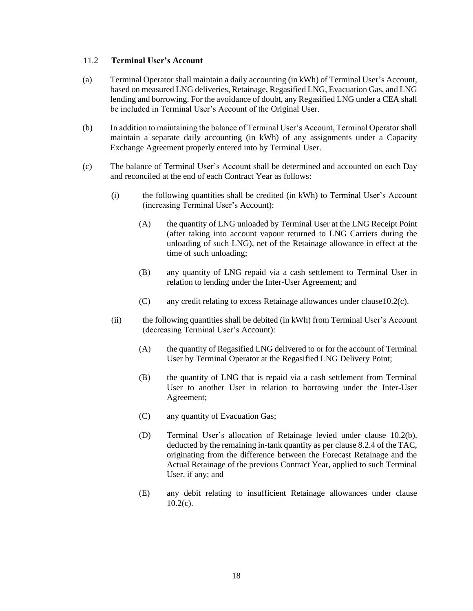#### <span id="page-18-0"></span>11.2 **Terminal User's Account**

- (a) Terminal Operator shall maintain a daily accounting (in kWh) of Terminal User's Account, based on measured LNG deliveries, Retainage, Regasified LNG, Evacuation Gas, and LNG lending and borrowing. For the avoidance of doubt, any Regasified LNG under a CEA shall be included in Terminal User's Account of the Original User.
- (b) In addition to maintaining the balance of Terminal User's Account, Terminal Operator shall maintain a separate daily accounting (in kWh) of any assignments under a Capacity Exchange Agreement properly entered into by Terminal User.
- (c) The balance of Terminal User's Account shall be determined and accounted on each Day and reconciled at the end of each Contract Year as follows:
	- (i) the following quantities shall be credited (in kWh) to Terminal User's Account (increasing Terminal User's Account):
		- (A) the quantity of LNG unloaded by Terminal User at the LNG Receipt Point (after taking into account vapour returned to LNG Carriers during the unloading of such LNG), net of the Retainage allowance in effect at the time of such unloading;
		- (B) any quantity of LNG repaid via a cash settlement to Terminal User in relation to lending under the Inter-User Agreement; and
		- (C) any credit relating to excess Retainage allowances under claus[e10.2\(c\).](#page-17-6)
	- (ii) the following quantities shall be debited (in kWh) from Terminal User's Account (decreasing Terminal User's Account):
		- (A) the quantity of Regasified LNG delivered to or for the account of Terminal User by Terminal Operator at the Regasified LNG Delivery Point;
		- (B) the quantity of LNG that is repaid via a cash settlement from Terminal User to another User in relation to borrowing under the Inter-User Agreement;
		- (C) any quantity of Evacuation Gas;
		- (D) Terminal User's allocation of Retainage levied under clause [10.2\(b\),](#page-17-7) deducted by the remaining in-tank quantity as per clause 8.2.4 of the TAC, originating from the difference between the Forecast Retainage and the Actual Retainage of the previous Contract Year, applied to such Terminal User, if any; and
		- (E) any debit relating to insufficient Retainage allowances under clause  $10.2(c)$ .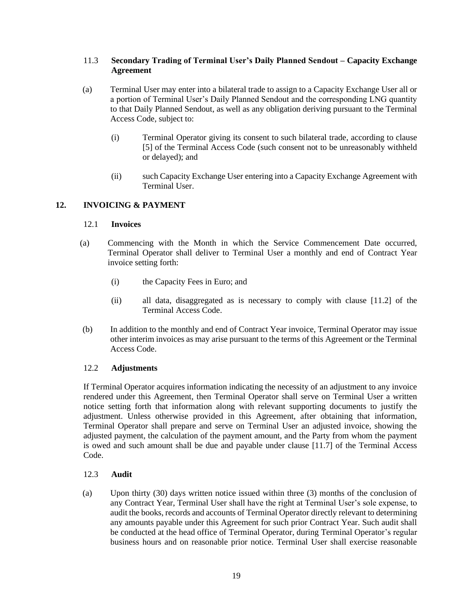### <span id="page-19-0"></span>11.3 **Secondary Trading of Terminal User's Daily Planned Sendout – Capacity Exchange Agreement**

- (a) Terminal User may enter into a bilateral trade to assign to a Capacity Exchange User all or a portion of Terminal User's Daily Planned Sendout and the corresponding LNG quantity to that Daily Planned Sendout, as well as any obligation deriving pursuant to the Terminal Access Code, subject to:
	- (i) Terminal Operator giving its consent to such bilateral trade, according to clause [5] of the Terminal Access Code (such consent not to be unreasonably withheld or delayed); and
	- (ii) such Capacity Exchange User entering into a Capacity Exchange Agreement with Terminal User.

### <span id="page-19-2"></span><span id="page-19-1"></span>**12. INVOICING & PAYMENT**

#### 12.1 **Invoices**

- (a) Commencing with the Month in which the Service Commencement Date occurred, Terminal Operator shall deliver to Terminal User a monthly and end of Contract Year invoice setting forth:
	- (i) the Capacity Fees in Euro; and
	- (ii) all data, disaggregated as is necessary to comply with clause [11.2] of the Terminal Access Code.
- (b) In addition to the monthly and end of Contract Year invoice, Terminal Operator may issue other interim invoices as may arise pursuant to the terms of this Agreement or the Terminal Access Code.

#### <span id="page-19-3"></span>12.2 **Adjustments**

If Terminal Operator acquires information indicating the necessity of an adjustment to any invoice rendered under this Agreement, then Terminal Operator shall serve on Terminal User a written notice setting forth that information along with relevant supporting documents to justify the adjustment. Unless otherwise provided in this Agreement, after obtaining that information, Terminal Operator shall prepare and serve on Terminal User an adjusted invoice, showing the adjusted payment, the calculation of the payment amount, and the Party from whom the payment is owed and such amount shall be due and payable under clause [11.7] of the Terminal Access Code.

#### <span id="page-19-4"></span>12.3 **Audit**

(a) Upon thirty (30) days written notice issued within three (3) months of the conclusion of any Contract Year, Terminal User shall have the right at Terminal User's sole expense, to audit the books, records and accounts of Terminal Operator directly relevant to determining any amounts payable under this Agreement for such prior Contract Year. Such audit shall be conducted at the head office of Terminal Operator, during Terminal Operator's regular business hours and on reasonable prior notice. Terminal User shall exercise reasonable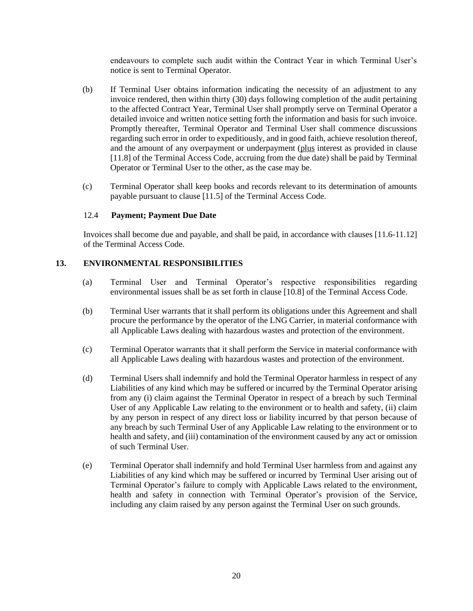endeavours to complete such audit within the Contract Year in which Terminal User's notice is sent to Terminal Operator.

- (b) If Terminal User obtains information indicating the necessity of an adjustment to any invoice rendered, then within thirty (30) days following completion of the audit pertaining to the affected Contract Year, Terminal User shall promptly serve on Terminal Operator a detailed invoice and written notice setting forth the information and basis for such invoice. Promptly thereafter, Terminal Operator and Terminal User shall commence discussions regarding such error in order to expeditiously, and in good faith, achieve resolution thereof, and the amount of any overpayment or underpayment (plus interest as provided in clause [11.8] of the Terminal Access Code, accruing from the due date) shall be paid by Terminal Operator or Terminal User to the other, as the case may be.
- (c) Terminal Operator shall keep books and records relevant to its determination of amounts payable pursuant to clause [11.5] of the Terminal Access Code.

#### <span id="page-20-0"></span>12.4 **Payment; Payment Due Date**

Invoices shall become due and payable, and shall be paid, in accordance with clauses [11.6-11.12] of the Terminal Access Code.

### <span id="page-20-1"></span>**13. ENVIRONMENTAL RESPONSIBILITIES**

- (a) Terminal User and Terminal Operator's respective responsibilities regarding environmental issues shall be as set forth in clause [10.8] of the Terminal Access Code.
- (b) Terminal User warrants that it shall perform its obligations under this Agreement and shall procure the performance by the operator of the LNG Carrier, in material conformance with all Applicable Laws dealing with hazardous wastes and protection of the environment.
- (c) Terminal Operator warrants that it shall perform the Service in material conformance with all Applicable Laws dealing with hazardous wastes and protection of the environment.
- (d) Terminal Users shall indemnify and hold the Terminal Operator harmless in respect of any Liabilities of any kind which may be suffered or incurred by the Terminal Operator arising from any (i) claim against the Terminal Operator in respect of a breach by such Terminal User of any Applicable Law relating to the environment or to health and safety, (ii) claim by any person in respect of any direct loss or liability incurred by that person because of any breach by such Terminal User of any Applicable Law relating to the environment or to health and safety, and (iii) contamination of the environment caused by any act or omission of such Terminal User.
- (e) Terminal Operator shall indemnify and hold Terminal User harmless from and against any Liabilities of any kind which may be suffered or incurred by Terminal User arising out of Terminal Operator's failure to comply with Applicable Laws related to the environment, health and safety in connection with Terminal Operator's provision of the Service, including any claim raised by any person against the Terminal User on such grounds.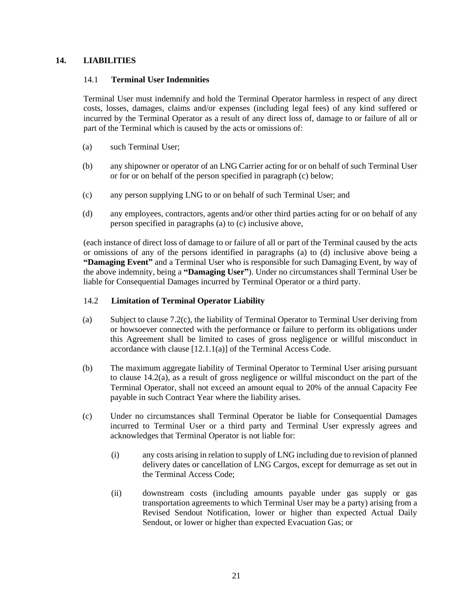### <span id="page-21-1"></span><span id="page-21-0"></span>**14. LIABILITIES**

#### 14.1 **Terminal User Indemnities**

Terminal User must indemnify and hold the Terminal Operator harmless in respect of any direct costs, losses, damages, claims and/or expenses (including legal fees) of any kind suffered or incurred by the Terminal Operator as a result of any direct loss of, damage to or failure of all or part of the Terminal which is caused by the acts or omissions of:

- (a) such Terminal User;
- (b) any shipowner or operator of an LNG Carrier acting for or on behalf of such Terminal User or for or on behalf of the person specified in paragraph (c) below;
- (c) any person supplying LNG to or on behalf of such Terminal User; and
- (d) any employees, contractors, agents and/or other third parties acting for or on behalf of any person specified in paragraphs (a) to (c) inclusive above,

(each instance of direct loss of damage to or failure of all or part of the Terminal caused by the acts or omissions of any of the persons identified in paragraphs (a) to (d) inclusive above being a **"Damaging Event"** and a Terminal User who is responsible for such Damaging Event, by way of the above indemnity, being a **"Damaging User"**). Under no circumstances shall Terminal User be liable for Consequential Damages incurred by Terminal Operator or a third party.

#### <span id="page-21-2"></span>14.2 **Limitation of Terminal Operator Liability**

- <span id="page-21-3"></span>(a) Subject to clause [7.2\(c\),](#page-14-5) the liability of Terminal Operator to Terminal User deriving from or howsoever connected with the performance or failure to perform its obligations under this Agreement shall be limited to cases of gross negligence or willful misconduct in accordance with clause [12.1.1(a)] of the Terminal Access Code.
- (b) The maximum aggregate liability of Terminal Operator to Terminal User arising pursuant to clause [14.2](#page-21-2)[\(a\),](#page-21-3) as a result of gross negligence or willful misconduct on the part of the Terminal Operator, shall not exceed an amount equal to 20% of the annual Capacity Fee payable in such Contract Year where the liability arises.
- (c) Under no circumstances shall Terminal Operator be liable for Consequential Damages incurred to Terminal User or a third party and Terminal User expressly agrees and acknowledges that Terminal Operator is not liable for:
	- (i) any costs arising in relation to supply of LNG including due to revision of planned delivery dates or cancellation of LNG Cargos, except for demurrage as set out in the Terminal Access Code;
	- (ii) downstream costs (including amounts payable under gas supply or gas transportation agreements to which Terminal User may be a party) arising from a Revised Sendout Notification, lower or higher than expected Actual Daily Sendout, or lower or higher than expected Evacuation Gas; or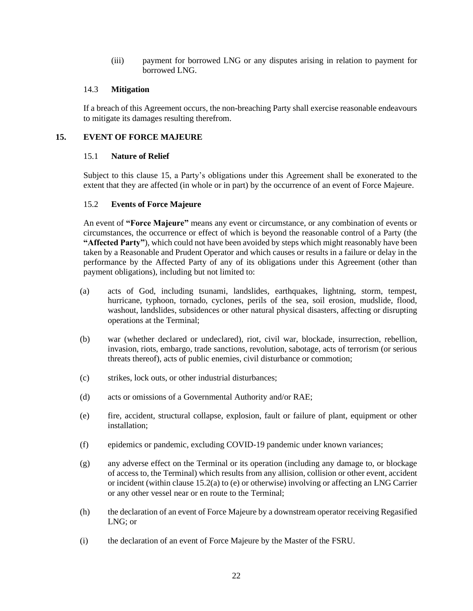(iii) payment for borrowed LNG or any disputes arising in relation to payment for borrowed LNG.

#### <span id="page-22-0"></span>14.3 **Mitigation**

If a breach of this Agreement occurs, the non-breaching Party shall exercise reasonable endeavours to mitigate its damages resulting therefrom.

### <span id="page-22-2"></span><span id="page-22-1"></span>**15. EVENT OF FORCE MAJEURE**

#### 15.1 **Nature of Relief**

Subject to this clause [15,](#page-22-1) a Party's obligations under this Agreement shall be exonerated to the extent that they are affected (in whole or in part) by the occurrence of an event of Force Majeure.

### <span id="page-22-3"></span>15.2 **Events of Force Majeure**

An event of **"Force Majeure"** means any event or circumstance, or any combination of events or circumstances, the occurrence or effect of which is beyond the reasonable control of a Party (the **"Affected Party"**), which could not have been avoided by steps which might reasonably have been taken by a Reasonable and Prudent Operator and which causes or results in a failure or delay in the performance by the Affected Party of any of its obligations under this Agreement (other than payment obligations), including but not limited to:

- <span id="page-22-4"></span>(a) acts of God, including tsunami, landslides, earthquakes, lightning, storm, tempest, hurricane, typhoon, tornado, cyclones, perils of the sea, soil erosion, mudslide, flood, washout, landslides, subsidences or other natural physical disasters, affecting or disrupting operations at the Terminal;
- (b) war (whether declared or undeclared), riot, civil war, blockade, insurrection, rebellion, invasion, riots, embargo, trade sanctions, revolution, sabotage, acts of terrorism (or serious threats thereof), acts of public enemies, civil disturbance or commotion;
- (c) strikes, lock outs, or other industrial disturbances;
- (d) acts or omissions of a Governmental Authority and/or RAE;
- <span id="page-22-5"></span>(e) fire, accident, structural collapse, explosion, fault or failure of plant, equipment or other installation;
- (f) epidemics or pandemic, excluding COVID-19 pandemic under known variances;
- (g) any adverse effect on the Terminal or its operation (including any damage to, or blockage of access to, the Terminal) which results from any allision, collision or other event, accident or incident (within clause [15.2\(a\)](#page-22-4) to [\(e\)](#page-22-5) or otherwise) involving or affecting an LNG Carrier or any other vessel near or en route to the Terminal;
- (h) the declaration of an event of Force Majeure by a downstream operator receiving Regasified LNG; or
- (i) the declaration of an event of Force Majeure by the Master of the FSRU.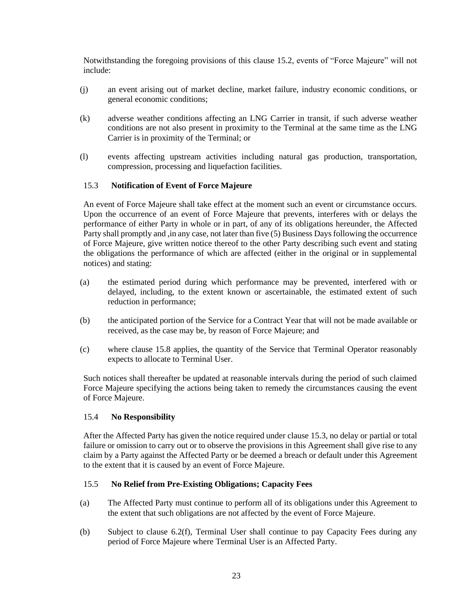Notwithstanding the foregoing provisions of this clause [15.2,](#page-22-3) events of "Force Majeure" will not include:

- (j) an event arising out of market decline, market failure, industry economic conditions, or general economic conditions;
- (k) adverse weather conditions affecting an LNG Carrier in transit, if such adverse weather conditions are not also present in proximity to the Terminal at the same time as the LNG Carrier is in proximity of the Terminal; or
- (l) events affecting upstream activities including natural gas production, transportation, compression, processing and liquefaction facilities.

#### <span id="page-23-0"></span>15.3 **Notification of Event of Force Majeure**

An event of Force Majeure shall take effect at the moment such an event or circumstance occurs. Upon the occurrence of an event of Force Majeure that prevents, interferes with or delays the performance of either Party in whole or in part, of any of its obligations hereunder, the Affected Party shall promptly and , in any case, not later than five (5) Business Days following the occurrence of Force Majeure, give written notice thereof to the other Party describing such event and stating the obligations the performance of which are affected (either in the original or in supplemental notices) and stating:

- (a) the estimated period during which performance may be prevented, interfered with or delayed, including, to the extent known or ascertainable, the estimated extent of such reduction in performance;
- (b) the anticipated portion of the Service for a Contract Year that will not be made available or received, as the case may be, by reason of Force Majeure; and
- (c) where clause [15.8](#page-24-2) applies, the quantity of the Service that Terminal Operator reasonably expects to allocate to Terminal User.

Such notices shall thereafter be updated at reasonable intervals during the period of such claimed Force Majeure specifying the actions being taken to remedy the circumstances causing the event of Force Majeure.

#### <span id="page-23-1"></span>15.4 **No Responsibility**

After the Affected Party has given the notice required under clause [15.3,](#page-23-0) no delay or partial or total failure or omission to carry out or to observe the provisions in this Agreement shall give rise to any claim by a Party against the Affected Party or be deemed a breach or default under this Agreement to the extent that it is caused by an event of Force Majeure.

#### <span id="page-23-2"></span>15.5 **No Relief from Pre-Existing Obligations; Capacity Fees**

- (a) The Affected Party must continue to perform all of its obligations under this Agreement to the extent that such obligations are not affected by the event of Force Majeure.
- (b) Subject to clause [6.2\(f\),](#page-12-0) Terminal User shall continue to pay Capacity Fees during any period of Force Majeure where Terminal User is an Affected Party.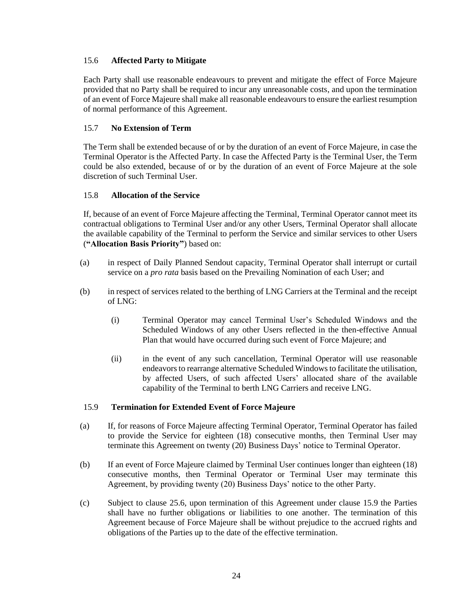### <span id="page-24-0"></span>15.6 **Affected Party to Mitigate**

Each Party shall use reasonable endeavours to prevent and mitigate the effect of Force Majeure provided that no Party shall be required to incur any unreasonable costs, and upon the termination of an event of Force Majeure shall make all reasonable endeavours to ensure the earliest resumption of normal performance of this Agreement.

### <span id="page-24-1"></span>15.7 **No Extension of Term**

The Term shall be extended because of or by the duration of an event of Force Majeure, in case the Terminal Operator is the Affected Party. In case the Affected Party is the Terminal User, the Term could be also extended, because of or by the duration of an event of Force Majeure at the sole discretion of such Terminal User.

### <span id="page-24-2"></span>15.8 **Allocation of the Service**

If, because of an event of Force Majeure affecting the Terminal, Terminal Operator cannot meet its contractual obligations to Terminal User and/or any other Users, Terminal Operator shall allocate the available capability of the Terminal to perform the Service and similar services to other Users (**"Allocation Basis Priority"**) based on:

- (a) in respect of Daily Planned Sendout capacity, Terminal Operator shall interrupt or curtail service on a *pro rata* basis based on the Prevailing Nomination of each User; and
- (b) in respect of services related to the berthing of LNG Carriers at the Terminal and the receipt of LNG:
	- (i) Terminal Operator may cancel Terminal User's Scheduled Windows and the Scheduled Windows of any other Users reflected in the then-effective Annual Plan that would have occurred during such event of Force Majeure; and
	- (ii) in the event of any such cancellation, Terminal Operator will use reasonable endeavors to rearrange alternative Scheduled Windows to facilitate the utilisation, by affected Users, of such affected Users' allocated share of the available capability of the Terminal to berth LNG Carriers and receive LNG.

#### <span id="page-24-3"></span>15.9 **Termination for Extended Event of Force Majeure**

- (a) If, for reasons of Force Majeure affecting Terminal Operator, Terminal Operator has failed to provide the Service for eighteen (18) consecutive months, then Terminal User may terminate this Agreement on twenty (20) Business Days' notice to Terminal Operator.
- (b) If an event of Force Majeure claimed by Terminal User continues longer than eighteen (18) consecutive months, then Terminal Operator or Terminal User may terminate this Agreement, by providing twenty (20) Business Days' notice to the other Party.
- (c) Subject to clause [25.6,](#page-35-0) upon termination of this Agreement under clause [15.9](#page-24-3) the Parties shall have no further obligations or liabilities to one another. The termination of this Agreement because of Force Majeure shall be without prejudice to the accrued rights and obligations of the Parties up to the date of the effective termination.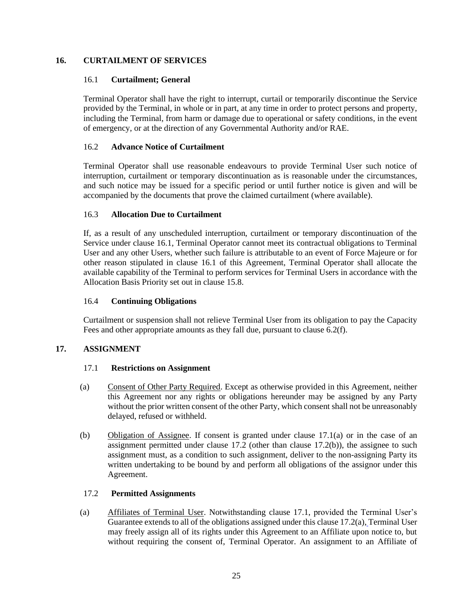### <span id="page-25-1"></span><span id="page-25-0"></span>**16. CURTAILMENT OF SERVICES**

#### 16.1 **Curtailment; General**

Terminal Operator shall have the right to interrupt, curtail or temporarily discontinue the Service provided by the Terminal, in whole or in part, at any time in order to protect persons and property, including the Terminal, from harm or damage due to operational or safety conditions, in the event of emergency, or at the direction of any Governmental Authority and/or RAE.

### <span id="page-25-2"></span>16.2 **Advance Notice of Curtailment**

Terminal Operator shall use reasonable endeavours to provide Terminal User such notice of interruption, curtailment or temporary discontinuation as is reasonable under the circumstances, and such notice may be issued for a specific period or until further notice is given and will be accompanied by the documents that prove the claimed curtailment (where available).

### <span id="page-25-3"></span>16.3 **Allocation Due to Curtailment**

If, as a result of any unscheduled interruption, curtailment or temporary discontinuation of the Service under clause [16.1,](#page-25-1) Terminal Operator cannot meet its contractual obligations to Terminal User and any other Users, whether such failure is attributable to an event of Force Majeure or for other reason stipulated in clause [16.1](#page-25-1) of this Agreement, Terminal Operator shall allocate the available capability of the Terminal to perform services for Terminal Users in accordance with the Allocation Basis Priority set out in clause [15.8.](#page-24-2)

#### <span id="page-25-4"></span>16.4 **Continuing Obligations**

Curtailment or suspension shall not relieve Terminal User from its obligation to pay the Capacity Fees and other appropriate amounts as they fall due, pursuant to clause [6.2\(f\).](#page-12-0)

#### <span id="page-25-6"></span><span id="page-25-5"></span>**17. ASSIGNMENT**

#### 17.1 **Restrictions on Assignment**

- <span id="page-25-8"></span>(a) Consent of Other Party Required. Except as otherwise provided in this Agreement, neither this Agreement nor any rights or obligations hereunder may be assigned by any Party without the prior written consent of the other Party, which consent shall not be unreasonably delayed, refused or withheld.
- (b) Obligation of Assignee. If consent is granted under clause [17.1\(a\)](#page-25-8) or in the case of an assignment permitted under clause [17.2](#page-25-7) (other than clause [17.2\(b\)\)](#page-26-2), the assignee to such assignment must, as a condition to such assignment, deliver to the non-assigning Party its written undertaking to be bound by and perform all obligations of the assignor under this Agreement.

# <span id="page-25-7"></span>17.2 **Permitted Assignments**

<span id="page-25-9"></span>(a) Affiliates of Terminal User. Notwithstanding clause [17.1,](#page-25-6) provided the Terminal User's Guarantee extends to all of the obligations assigned under this claus[e 17.2\(a\),](#page-25-9) Terminal User may freely assign all of its rights under this Agreement to an Affiliate upon notice to, but without requiring the consent of, Terminal Operator. An assignment to an Affiliate of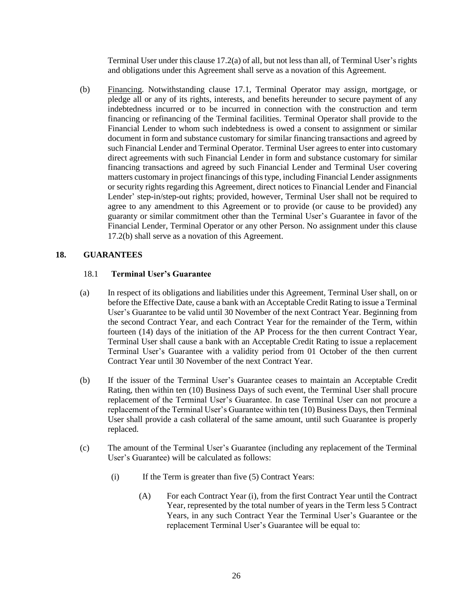Terminal User under this claus[e 17.2\(a\)](#page-25-9) of all, but not less than all, of Terminal User's rights and obligations under this Agreement shall serve as a novation of this Agreement.

<span id="page-26-2"></span>(b) Financing. Notwithstanding clause [17.1,](#page-25-6) Terminal Operator may assign, mortgage, or pledge all or any of its rights, interests, and benefits hereunder to secure payment of any indebtedness incurred or to be incurred in connection with the construction and term financing or refinancing of the Terminal facilities. Terminal Operator shall provide to the Financial Lender to whom such indebtedness is owed a consent to assignment or similar document in form and substance customary for similar financing transactions and agreed by such Financial Lender and Terminal Operator. Terminal User agrees to enter into customary direct agreements with such Financial Lender in form and substance customary for similar financing transactions and agreed by such Financial Lender and Terminal User covering matters customary in project financings of this type, including Financial Lender assignments or security rights regarding this Agreement, direct notices to Financial Lender and Financial Lender' step-in/step-out rights; provided, however, Terminal User shall not be required to agree to any amendment to this Agreement or to provide (or cause to be provided) any guaranty or similar commitment other than the Terminal User's Guarantee in favor of the Financial Lender, Terminal Operator or any other Person. No assignment under this clause [17.2\(b\)](#page-26-2) shall serve as a novation of this Agreement.

# <span id="page-26-1"></span><span id="page-26-0"></span>**18. GUARANTEES**

#### 18.1 **Terminal User's Guarantee**

- (a) In respect of its obligations and liabilities under this Agreement, Terminal User shall, on or before the Effective Date, cause a bank with an Acceptable Credit Rating to issue a Terminal User's Guarantee to be valid until 30 November of the next Contract Year. Beginning from the second Contract Year, and each Contract Year for the remainder of the Term, within fourteen (14) days of the initiation of the AP Process for the then current Contract Year, Terminal User shall cause a bank with an Acceptable Credit Rating to issue a replacement Terminal User's Guarantee with a validity period from 01 October of the then current Contract Year until 30 November of the next Contract Year.
- (b) If the issuer of the Terminal User's Guarantee ceases to maintain an Acceptable Credit Rating, then within ten (10) Business Days of such event, the Terminal User shall procure replacement of the Terminal User's Guarantee. In case Terminal User can not procure a replacement of the Terminal User's Guarantee within ten (10) Business Days, then Terminal User shall provide a cash collateral of the same amount, until such Guarantee is properly replaced.
- <span id="page-26-3"></span>(c) The amount of the Terminal User's Guarantee (including any replacement of the Terminal User's Guarantee) will be calculated as follows:
	- (i) If the Term is greater than five (5) Contract Years:
		- (A) For each Contract Year (i), from the first Contract Year until the Contract Year, represented by the total number of years in the Term less 5 Contract Years, in any such Contract Year the Terminal User's Guarantee or the replacement Terminal User's Guarantee will be equal to: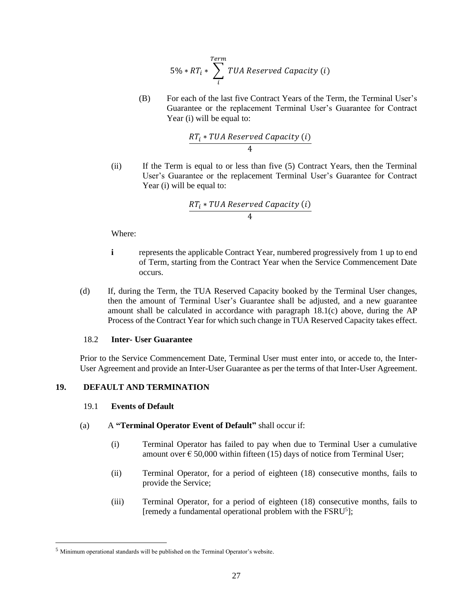$$
5\% * RT_i * \sum_{i}^{Term} TUA\,\,Reserved\,\,Capacity\,\,(i)
$$

(B) For each of the last five Contract Years of the Term, the Terminal User's Guarantee or the replacement Terminal User's Guarantee for Contract Year (i) will be equal to:

$$
\frac{RT_i * TUA\,\,Reserved\,\,Capacity\,\,(i)}{4}
$$

(ii) If the Term is equal to or less than five (5) Contract Years, then the Terminal User's Guarantee or the replacement Terminal User's Guarantee for Contract Year (i) will be equal to:

$$
\frac{RT_i * TUA\,\,Reserved\,\,Capacity\,\,(i)}{4}
$$

Where:

- **i** represents the applicable Contract Year, numbered progressively from 1 up to end of Term, starting from the Contract Year when the Service Commencement Date occurs.
- (d) If, during the Term, the TUA Reserved Capacity booked by the Terminal User changes, then the amount of Terminal User's Guarantee shall be adjusted, and a new guarantee amount shall be calculated in accordance with paragraph [18.1\(c\)](#page-26-3) above, during the AP Process of the Contract Year for which such change in TUA Reserved Capacity takes effect.

#### <span id="page-27-0"></span>18.2 **Inter- User Guarantee**

Prior to the Service Commencement Date, Terminal User must enter into, or accede to, the Inter-User Agreement and provide an Inter-User Guarantee as per the terms of that Inter-User Agreement.

#### <span id="page-27-2"></span><span id="page-27-1"></span>**19. DEFAULT AND TERMINATION**

#### 19.1 **Events of Default**

#### <span id="page-27-3"></span>(a) A **"Terminal Operator Event of Default"** shall occur if:

- (i) Terminal Operator has failed to pay when due to Terminal User a cumulative amount over  $\epsilon$  50,000 within fifteen (15) days of notice from Terminal User;
- (ii) Terminal Operator, for a period of eighteen (18) consecutive months, fails to provide the Service;
- (iii) Terminal Operator, for a period of eighteen (18) consecutive months, fails to [remedy a fundamental operational problem with the FSRU<sup>5</sup>];

<sup>5</sup> Minimum operational standards will be published on the Terminal Operator's website.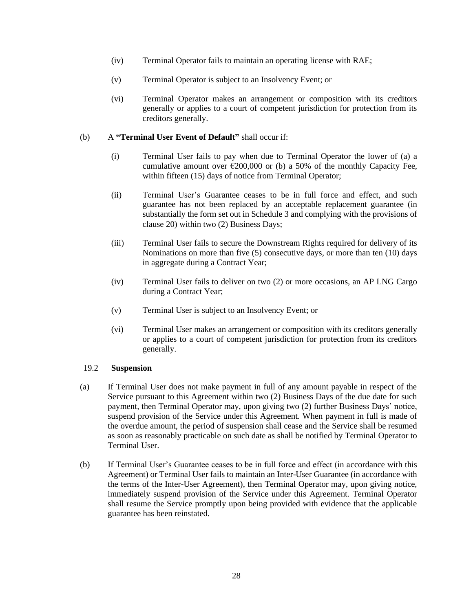- (iv) Terminal Operator fails to maintain an operating license with RAE;
- (v) Terminal Operator is subject to an Insolvency Event; or
- (vi) Terminal Operator makes an arrangement or composition with its creditors generally or applies to a court of competent jurisdiction for protection from its creditors generally.

#### <span id="page-28-1"></span>(b) A **"Terminal User Event of Default"** shall occur if:

- (i) Terminal User fails to pay when due to Terminal Operator the lower of (a) a cumulative amount over  $\epsilon$ 200,000 or (b) a 50% of the monthly Capacity Fee, within fifteen (15) days of notice from Terminal Operator;
- (ii) Terminal User's Guarantee ceases to be in full force and effect, and such guarantee has not been replaced by an acceptable replacement guarantee (in substantially the form set out in Schedule 3 and complying with the provisions of claus[e 20\)](#page-30-0) within two (2) Business Days;
- (iii) Terminal User fails to secure the Downstream Rights required for delivery of its Nominations on more than five (5) consecutive days, or more than ten (10) days in aggregate during a Contract Year;
- (iv) Terminal User fails to deliver on two (2) or more occasions, an AP LNG Cargo during a Contract Year;
- (v) Terminal User is subject to an Insolvency Event; or
- (vi) Terminal User makes an arrangement or composition with its creditors generally or applies to a court of competent jurisdiction for protection from its creditors generally.

#### <span id="page-28-0"></span>19.2 **Suspension**

- (a) If Terminal User does not make payment in full of any amount payable in respect of the Service pursuant to this Agreement within two (2) Business Days of the due date for such payment, then Terminal Operator may, upon giving two (2) further Business Days' notice, suspend provision of the Service under this Agreement. When payment in full is made of the overdue amount, the period of suspension shall cease and the Service shall be resumed as soon as reasonably practicable on such date as shall be notified by Terminal Operator to Terminal User.
- (b) If Terminal User's Guarantee ceases to be in full force and effect (in accordance with this Agreement) or Terminal User fails to maintain an Inter-User Guarantee (in accordance with the terms of the Inter-User Agreement), then Terminal Operator may, upon giving notice, immediately suspend provision of the Service under this Agreement. Terminal Operator shall resume the Service promptly upon being provided with evidence that the applicable guarantee has been reinstated.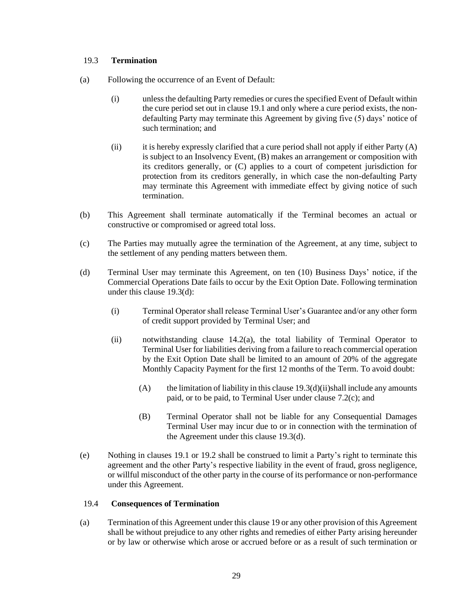#### <span id="page-29-0"></span>19.3 **Termination**

- (a) Following the occurrence of an Event of Default:
	- (i) unless the defaulting Party remedies or cures the specified Event of Default within the cure period set out in clause [19.1](#page-27-2) and only where a cure period exists, the nondefaulting Party may terminate this Agreement by giving five (5) days' notice of such termination; and
	- (ii) it is hereby expressly clarified that a cure period shall not apply if either Party  $(A)$ is subject to an Insolvency Event, (B) makes an arrangement or composition with its creditors generally, or (C) applies to a court of competent jurisdiction for protection from its creditors generally, in which case the non-defaulting Party may terminate this Agreement with immediate effect by giving notice of such termination.
- <span id="page-29-4"></span>(b) This Agreement shall terminate automatically if the Terminal becomes an actual or constructive or compromised or agreed total loss.
- (c) The Parties may mutually agree the termination of the Agreement, at any time, subject to the settlement of any pending matters between them.
- <span id="page-29-3"></span><span id="page-29-2"></span>(d) Terminal User may terminate this Agreement, on ten (10) Business Days' notice, if the Commercial Operations Date fails to occur by the Exit Option Date. Following termination under this clause [19.3\(d\):](#page-29-2)
	- (i) Terminal Operator shall release Terminal User's Guarantee and/or any other form of credit support provided by Terminal User; and
	- (ii) notwithstanding clause [14.2\(a\),](#page-21-3) the total liability of Terminal Operator to Terminal User for liabilities deriving from a failure to reach commercial operation by the Exit Option Date shall be limited to an amount of 20% of the aggregate Monthly Capacity Payment for the first 12 months of the Term. To avoid doubt:
		- (A) the limitation of liability in this clause  $19.3(d)(ii)$ shall include any amounts paid, or to be paid, to Terminal User under clause [7.2\(c\);](#page-14-5) and
		- (B) Terminal Operator shall not be liable for any Consequential Damages Terminal User may incur due to or in connection with the termination of the Agreement under this clause [19.3](#page-29-0)[\(d\).](#page-29-2)
- (e) Nothing in clauses [19.1](#page-27-2) or [19.2](#page-28-0) shall be construed to limit a Party's right to terminate this agreement and the other Party's respective liability in the event of fraud, gross negligence, or willful misconduct of the other party in the course of its performance or non-performance under this Agreement.

#### <span id="page-29-1"></span>19.4 **Consequences of Termination**

(a) Termination of this Agreement under this claus[e 19](#page-27-1) or any other provision of this Agreement shall be without prejudice to any other rights and remedies of either Party arising hereunder or by law or otherwise which arose or accrued before or as a result of such termination or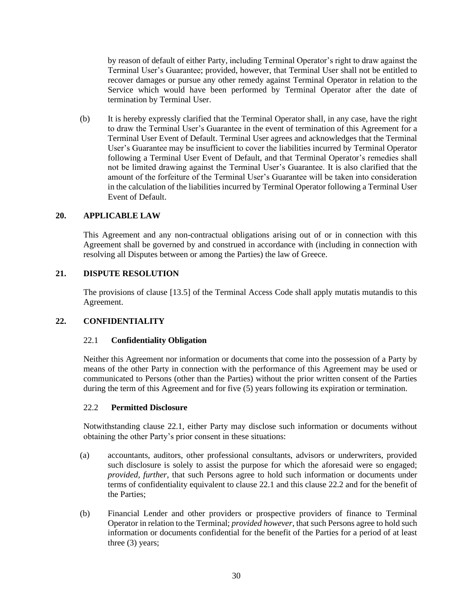by reason of default of either Party, including Terminal Operator's right to draw against the Terminal User's Guarantee; provided, however, that Terminal User shall not be entitled to recover damages or pursue any other remedy against Terminal Operator in relation to the Service which would have been performed by Terminal Operator after the date of termination by Terminal User.

(b) It is hereby expressly clarified that the Terminal Operator shall, in any case, have the right to draw the Terminal User's Guarantee in the event of termination of this Agreement for a Terminal User Event of Default. Terminal User agrees and acknowledges that the Terminal User's Guarantee may be insufficient to cover the liabilities incurred by Terminal Operator following a Terminal User Event of Default, and that Terminal Operator's remedies shall not be limited drawing against the Terminal User's Guarantee. It is also clarified that the amount of the forfeiture of the Terminal User's Guarantee will be taken into consideration in the calculation of the liabilities incurred by Terminal Operator following a Terminal User Event of Default.

#### <span id="page-30-0"></span>**20. APPLICABLE LAW**

This Agreement and any non-contractual obligations arising out of or in connection with this Agreement shall be governed by and construed in accordance with (including in connection with resolving all Disputes between or among the Parties) the law of Greece.

#### <span id="page-30-1"></span>**21. DISPUTE RESOLUTION**

The provisions of clause [13.5] of the Terminal Access Code shall apply mutatis mutandis to this Agreement.

#### <span id="page-30-3"></span><span id="page-30-2"></span>**22. CONFIDENTIALITY**

#### 22.1 **Confidentiality Obligation**

Neither this Agreement nor information or documents that come into the possession of a Party by means of the other Party in connection with the performance of this Agreement may be used or communicated to Persons (other than the Parties) without the prior written consent of the Parties during the term of this Agreement and for five (5) years following its expiration or termination.

#### <span id="page-30-4"></span>22.2 **Permitted Disclosure**

Notwithstanding clause [22.1,](#page-30-3) either Party may disclose such information or documents without obtaining the other Party's prior consent in these situations:

- (a) accountants, auditors, other professional consultants, advisors or underwriters, provided such disclosure is solely to assist the purpose for which the aforesaid were so engaged; *provided, further*, that such Persons agree to hold such information or documents under terms of confidentiality equivalent to claus[e 22.1](#page-30-3) and this clause [22.2](#page-30-4) and for the benefit of the Parties;
- (b) Financial Lender and other providers or prospective providers of finance to Terminal Operator in relation to the Terminal; *provided however*, that such Persons agree to hold such information or documents confidential for the benefit of the Parties for a period of at least three (3) years;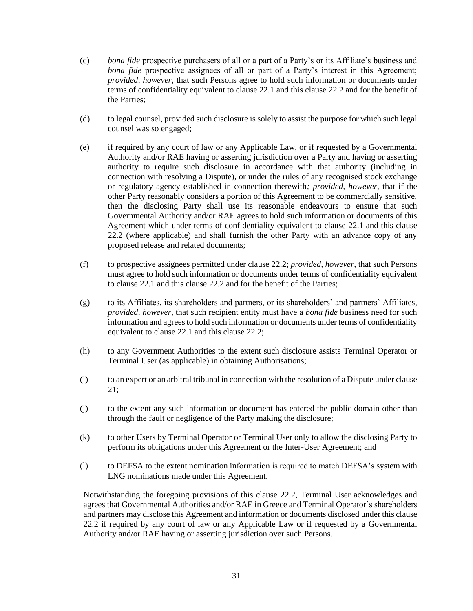- (c) *bona fide* prospective purchasers of all or a part of a Party's or its Affiliate's business and *bona fide* prospective assignees of all or part of a Party's interest in this Agreement; *provided, however*, that such Persons agree to hold such information or documents under terms of confidentiality equivalent to claus[e 22.1](#page-30-3) and this clause [22.2](#page-30-4) and for the benefit of the Parties;
- (d) to legal counsel, provided such disclosure is solely to assist the purpose for which such legal counsel was so engaged;
- (e) if required by any court of law or any Applicable Law, or if requested by a Governmental Authority and/or RAE having or asserting jurisdiction over a Party and having or asserting authority to require such disclosure in accordance with that authority (including in connection with resolving a Dispute), or under the rules of any recognised stock exchange or regulatory agency established in connection therewith*; provided, however*, that if the other Party reasonably considers a portion of this Agreement to be commercially sensitive, then the disclosing Party shall use its reasonable endeavours to ensure that such Governmental Authority and/or RAE agrees to hold such information or documents of this Agreement which under terms of confidentiality equivalent to clause [22.1](#page-30-3) and this clause [22.2](#page-30-4) (where applicable) and shall furnish the other Party with an advance copy of any proposed release and related documents;
- (f) to prospective assignees permitted under clause [22.2;](#page-30-4) *provided, however*, that such Persons must agree to hold such information or documents under terms of confidentiality equivalent to clause [22.1](#page-30-3) and this clause [22.2](#page-30-4) and for the benefit of the Parties;
- (g) to its Affiliates, its shareholders and partners, or its shareholders' and partners' Affiliates, *provided, however*, that such recipient entity must have a *bona fide* business need for such information and agrees to hold such information or documents under terms of confidentiality equivalent to clause [22.1](#page-30-3) and this clause [22.2;](#page-30-4)
- (h) to any Government Authorities to the extent such disclosure assists Terminal Operator or Terminal User (as applicable) in obtaining Authorisations;
- (i) to an expert or an arbitral tribunal in connection with the resolution of a Dispute under clause [21;](#page-30-1)
- (j) to the extent any such information or document has entered the public domain other than through the fault or negligence of the Party making the disclosure;
- (k) to other Users by Terminal Operator or Terminal User only to allow the disclosing Party to perform its obligations under this Agreement or the Inter-User Agreement; and
- (l) to DEFSA to the extent nomination information is required to match DEFSA's system with LNG nominations made under this Agreement.

Notwithstanding the foregoing provisions of this clause [22.2,](#page-30-4) Terminal User acknowledges and agrees that Governmental Authorities and/or RAE in Greece and Terminal Operator's shareholders and partners may disclose this Agreement and information or documents disclosed under this clause [22.2](#page-30-4) if required by any court of law or any Applicable Law or if requested by a Governmental Authority and/or RAE having or asserting jurisdiction over such Persons.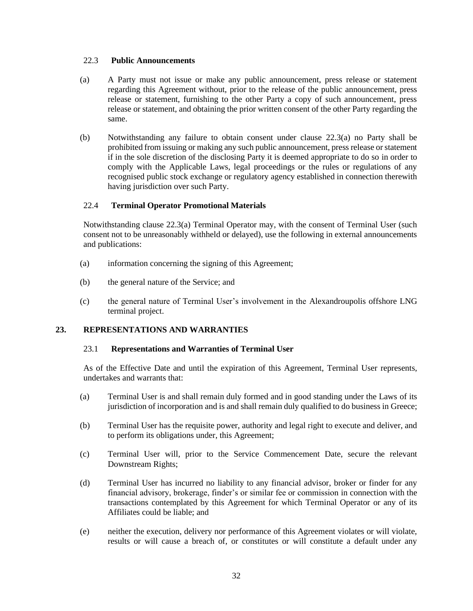#### <span id="page-32-0"></span>22.3 **Public Announcements**

- <span id="page-32-4"></span>(a) A Party must not issue or make any public announcement, press release or statement regarding this Agreement without, prior to the release of the public announcement, press release or statement, furnishing to the other Party a copy of such announcement, press release or statement, and obtaining the prior written consent of the other Party regarding the same.
- (b) Notwithstanding any failure to obtain consent under clause [22.3\(a\)](#page-32-4) no Party shall be prohibited from issuing or making any such public announcement, press release or statement if in the sole discretion of the disclosing Party it is deemed appropriate to do so in order to comply with the Applicable Laws, legal proceedings or the rules or regulations of any recognised public stock exchange or regulatory agency established in connection therewith having jurisdiction over such Party.

#### <span id="page-32-1"></span>22.4 **Terminal Operator Promotional Materials**

Notwithstanding clause [22.3\(a\)](#page-32-4) Terminal Operator may, with the consent of Terminal User (such consent not to be unreasonably withheld or delayed), use the following in external announcements and publications:

- (a) information concerning the signing of this Agreement;
- (b) the general nature of the Service; and
- (c) the general nature of Terminal User's involvement in the Alexandroupolis offshore LNG terminal project.

#### <span id="page-32-3"></span><span id="page-32-2"></span>**23. REPRESENTATIONS AND WARRANTIES**

#### 23.1 **Representations and Warranties of Terminal User**

As of the Effective Date and until the expiration of this Agreement, Terminal User represents, undertakes and warrants that:

- (a) Terminal User is and shall remain duly formed and in good standing under the Laws of its jurisdiction of incorporation and is and shall remain duly qualified to do business in Greece;
- (b) Terminal User has the requisite power, authority and legal right to execute and deliver, and to perform its obligations under, this Agreement;
- (c) Terminal User will, prior to the Service Commencement Date, secure the relevant Downstream Rights;
- (d) Terminal User has incurred no liability to any financial advisor, broker or finder for any financial advisory, brokerage, finder's or similar fee or commission in connection with the transactions contemplated by this Agreement for which Terminal Operator or any of its Affiliates could be liable; and
- (e) neither the execution, delivery nor performance of this Agreement violates or will violate, results or will cause a breach of, or constitutes or will constitute a default under any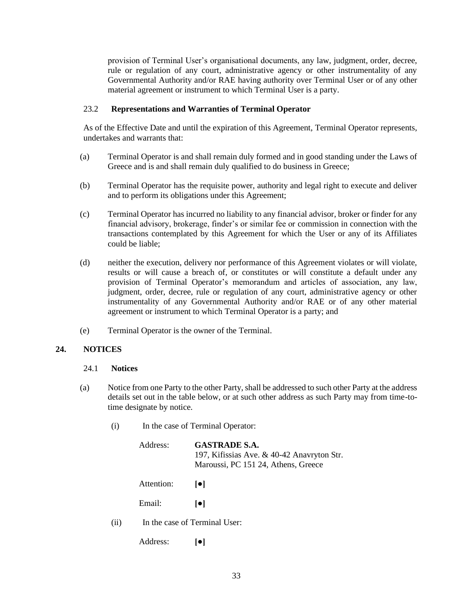provision of Terminal User's organisational documents, any law, judgment, order, decree, rule or regulation of any court, administrative agency or other instrumentality of any Governmental Authority and/or RAE having authority over Terminal User or of any other material agreement or instrument to which Terminal User is a party.

#### <span id="page-33-0"></span>23.2 **Representations and Warranties of Terminal Operator**

As of the Effective Date and until the expiration of this Agreement, Terminal Operator represents, undertakes and warrants that:

- (a) Terminal Operator is and shall remain duly formed and in good standing under the Laws of Greece and is and shall remain duly qualified to do business in Greece;
- (b) Terminal Operator has the requisite power, authority and legal right to execute and deliver and to perform its obligations under this Agreement;
- (c) Terminal Operator has incurred no liability to any financial advisor, broker or finder for any financial advisory, brokerage, finder's or similar fee or commission in connection with the transactions contemplated by this Agreement for which the User or any of its Affiliates could be liable;
- (d) neither the execution, delivery nor performance of this Agreement violates or will violate, results or will cause a breach of, or constitutes or will constitute a default under any provision of Terminal Operator's memorandum and articles of association, any law, judgment, order, decree, rule or regulation of any court, administrative agency or other instrumentality of any Governmental Authority and/or RAE or of any other material agreement or instrument to which Terminal Operator is a party; and
- (e) Terminal Operator is the owner of the Terminal.

#### <span id="page-33-2"></span><span id="page-33-1"></span>**24. NOTICES**

#### 24.1 **Notices**

- (a) Notice from one Party to the other Party, shall be addressed to such other Party at the address details set out in the table below, or at such other address as such Party may from time-totime designate by notice.
	- (i) In the case of Terminal Operator:

| Address:   | <b>GASTRADE S.A.</b><br>197, Kifissias Ave. & 40-42 Anavryton Str.<br>Maroussi, PC 151 24, Athens, Greece                          |
|------------|------------------------------------------------------------------------------------------------------------------------------------|
| Attention: | $  \bullet  $                                                                                                                      |
| Email:     | $  \bullet  $                                                                                                                      |
|            | $\mathbf{r}_1$ and $\mathbf{r}_2$ are $\mathbf{r}_3$ . If $\mathbf{r}_1$ is the sum of $\mathbf{r}_2$ is the sum of $\mathbf{r}_1$ |

- (ii) In the case of Terminal User:
	- Address: **[●]**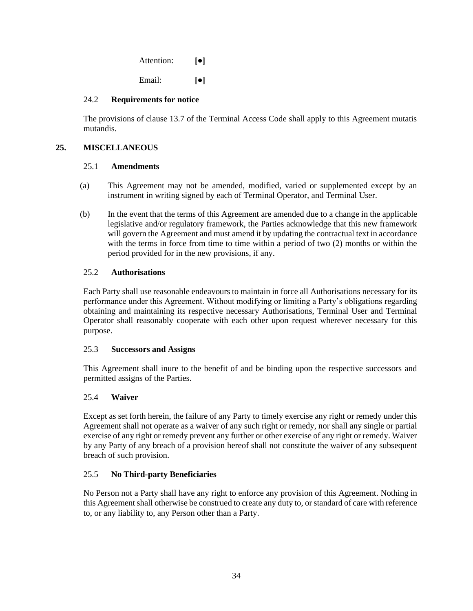| Attention: | $\lceil \bullet \rceil$ |
|------------|-------------------------|
| Email:     | $\lceil \bullet \rceil$ |

#### <span id="page-34-0"></span>24.2 **Requirements for notice**

The provisions of clause 13.7 of the Terminal Access Code shall apply to this Agreement mutatis mutandis.

# <span id="page-34-2"></span><span id="page-34-1"></span>**25. MISCELLANEOUS**

#### 25.1 **Amendments**

- (a) This Agreement may not be amended, modified, varied or supplemented except by an instrument in writing signed by each of Terminal Operator, and Terminal User.
- (b) In the event that the terms of this Agreement are amended due to a change in the applicable legislative and/or regulatory framework, the Parties acknowledge that this new framework will govern the Agreement and must amend it by updating the contractual text in accordance with the terms in force from time to time within a period of two (2) months or within the period provided for in the new provisions, if any.

### <span id="page-34-3"></span>25.2 **Authorisations**

Each Party shall use reasonable endeavours to maintain in force all Authorisations necessary for its performance under this Agreement. Without modifying or limiting a Party's obligations regarding obtaining and maintaining its respective necessary Authorisations, Terminal User and Terminal Operator shall reasonably cooperate with each other upon request wherever necessary for this purpose.

#### <span id="page-34-4"></span>25.3 **Successors and Assigns**

This Agreement shall inure to the benefit of and be binding upon the respective successors and permitted assigns of the Parties.

# <span id="page-34-5"></span>25.4 **Waiver**

Except as set forth herein, the failure of any Party to timely exercise any right or remedy under this Agreement shall not operate as a waiver of any such right or remedy, nor shall any single or partial exercise of any right or remedy prevent any further or other exercise of any right or remedy. Waiver by any Party of any breach of a provision hereof shall not constitute the waiver of any subsequent breach of such provision.

# <span id="page-34-6"></span>25.5 **No Third-party Beneficiaries**

No Person not a Party shall have any right to enforce any provision of this Agreement. Nothing in this Agreement shall otherwise be construed to create any duty to, or standard of care with reference to, or any liability to, any Person other than a Party.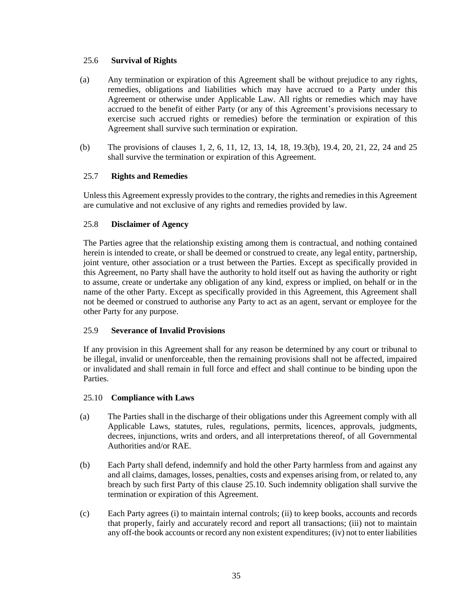#### <span id="page-35-0"></span>25.6 **Survival of Rights**

- (a) Any termination or expiration of this Agreement shall be without prejudice to any rights, remedies, obligations and liabilities which may have accrued to a Party under this Agreement or otherwise under Applicable Law. All rights or remedies which may have accrued to the benefit of either Party (or any of this Agreement's provisions necessary to exercise such accrued rights or remedies) before the termination or expiration of this Agreement shall survive such termination or expiration.
- (b) The provisions of clauses [1,](#page-4-0) [2,](#page-8-1) [6,](#page-10-3) [11,](#page-17-4) [12,](#page-19-1) [13,](#page-20-1) [14,](#page-21-0) [18,](#page-26-0) [19.3\(b\),](#page-29-4) [19.4,](#page-29-1) [20,](#page-30-0) [21,](#page-30-1) [22,](#page-30-2) [24](#page-33-1) and [25](#page-34-1) shall survive the termination or expiration of this Agreement.

### <span id="page-35-1"></span>25.7 **Rights and Remedies**

Unlessthis Agreement expressly provides to the contrary, the rights and remedies in this Agreement are cumulative and not exclusive of any rights and remedies provided by law.

### <span id="page-35-2"></span>25.8 **Disclaimer of Agency**

The Parties agree that the relationship existing among them is contractual, and nothing contained herein is intended to create, or shall be deemed or construed to create, any legal entity, partnership, joint venture, other association or a trust between the Parties. Except as specifically provided in this Agreement, no Party shall have the authority to hold itself out as having the authority or right to assume, create or undertake any obligation of any kind, express or implied, on behalf or in the name of the other Party. Except as specifically provided in this Agreement, this Agreement shall not be deemed or construed to authorise any Party to act as an agent, servant or employee for the other Party for any purpose.

#### <span id="page-35-3"></span>25.9 **Severance of Invalid Provisions**

If any provision in this Agreement shall for any reason be determined by any court or tribunal to be illegal, invalid or unenforceable, then the remaining provisions shall not be affected, impaired or invalidated and shall remain in full force and effect and shall continue to be binding upon the Parties.

#### <span id="page-35-4"></span>25.10 **Compliance with Laws**

- (a) The Parties shall in the discharge of their obligations under this Agreement comply with all Applicable Laws, statutes, rules, regulations, permits, licences, approvals, judgments, decrees, injunctions, writs and orders, and all interpretations thereof, of all Governmental Authorities and/or RAE.
- (b) Each Party shall defend, indemnify and hold the other Party harmless from and against any and all claims, damages, losses, penalties, costs and expenses arising from, or related to, any breach by such first Party of this clause [25.10.](#page-35-4) Such indemnity obligation shall survive the termination or expiration of this Agreement.
- (c) Each Party agrees (i) to maintain internal controls; (ii) to keep books, accounts and records that properly, fairly and accurately record and report all transactions; (iii) not to maintain any off-the book accounts or record any non existent expenditures; (iv) not to enter liabilities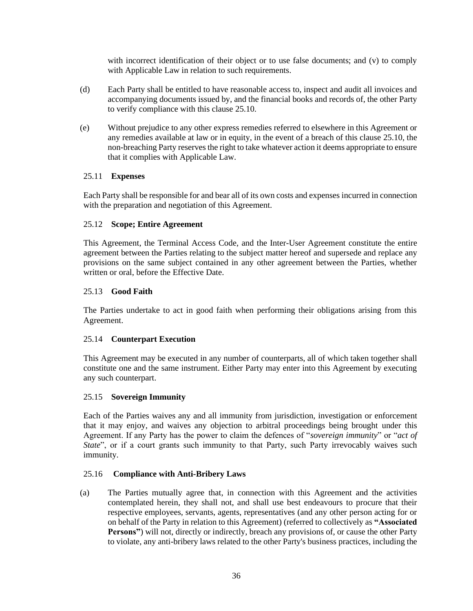with incorrect identification of their object or to use false documents; and (v) to comply with Applicable Law in relation to such requirements.

- (d) Each Party shall be entitled to have reasonable access to, inspect and audit all invoices and accompanying documents issued by, and the financial books and records of, the other Party to verify compliance with this clause [25.10.](#page-35-4)
- (e) Without prejudice to any other express remedies referred to elsewhere in this Agreement or any remedies available at law or in equity, in the event of a breach of this clause [25.10,](#page-35-4) the non-breaching Party reserves the right to take whatever action it deems appropriate to ensure that it complies with Applicable Law.

#### <span id="page-36-0"></span>25.11 **Expenses**

Each Party shall be responsible for and bear all of its own costs and expenses incurred in connection with the preparation and negotiation of this Agreement.

### <span id="page-36-1"></span>25.12 **Scope; Entire Agreement**

This Agreement, the Terminal Access Code, and the Inter-User Agreement constitute the entire agreement between the Parties relating to the subject matter hereof and supersede and replace any provisions on the same subject contained in any other agreement between the Parties, whether written or oral, before the Effective Date.

#### <span id="page-36-2"></span>25.13 **Good Faith**

The Parties undertake to act in good faith when performing their obligations arising from this Agreement.

# <span id="page-36-3"></span>25.14 **Counterpart Execution**

This Agreement may be executed in any number of counterparts, all of which taken together shall constitute one and the same instrument. Either Party may enter into this Agreement by executing any such counterpart.

#### <span id="page-36-4"></span>25.15 **Sovereign Immunity**

Each of the Parties waives any and all immunity from jurisdiction, investigation or enforcement that it may enjoy, and waives any objection to arbitral proceedings being brought under this Agreement. If any Party has the power to claim the defences of "*sovereign immunity*" or "*act of State*", or if a court grants such immunity to that Party, such Party irrevocably waives such immunity.

#### <span id="page-36-5"></span>25.16 **Compliance with Anti-Bribery Laws**

(a) The Parties mutually agree that, in connection with this Agreement and the activities contemplated herein, they shall not, and shall use best endeavours to procure that their respective employees, servants, agents, representatives (and any other person acting for or on behalf of the Party in relation to this Agreement) (referred to collectively as **"Associated Persons"**) will not, directly or indirectly, breach any provisions of, or cause the other Party to violate, any anti-bribery laws related to the other Party's business practices, including the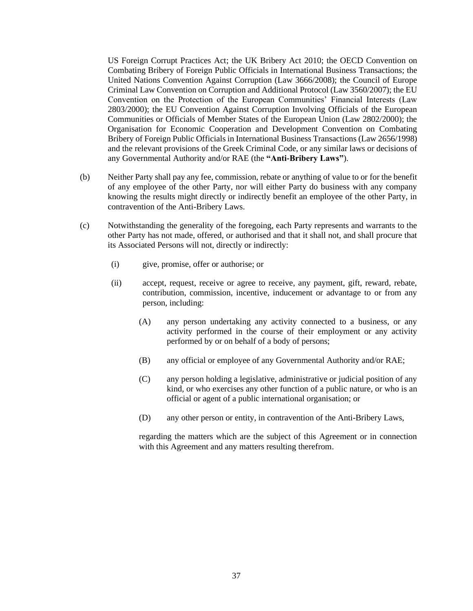US Foreign Corrupt Practices Act; the UK Bribery Act 2010; the OECD Convention on Combating Bribery of Foreign Public Officials in International Business Transactions; the United Nations Convention Against Corruption (Law 3666/2008); the Council of Europe Criminal Law Convention on Corruption and Additional Protocol (Law 3560/2007); the EU Convention on the Protection of the European Communities' Financial Interests (Law 2803/2000); the EU Convention Against Corruption Involving Officials of the European Communities or Officials of Member States of the European Union (Law 2802/2000); the Organisation for Economic Cooperation and Development Convention on Combating Bribery of Foreign Public Officials in International Business Transactions (Law 2656/1998) and the relevant provisions of the Greek Criminal Code, or any similar laws or decisions of any Governmental Authority and/or RAE (the **"Anti-Bribery Laws"**).

- (b) Neither Party shall pay any fee, commission, rebate or anything of value to or for the benefit of any employee of the other Party, nor will either Party do business with any company knowing the results might directly or indirectly benefit an employee of the other Party, in contravention of the Anti-Bribery Laws.
- (c) Notwithstanding the generality of the foregoing, each Party represents and warrants to the other Party has not made, offered, or authorised and that it shall not, and shall procure that its Associated Persons will not, directly or indirectly:
	- (i) give, promise, offer or authorise; or
	- (ii) accept, request, receive or agree to receive, any payment, gift, reward, rebate, contribution, commission, incentive, inducement or advantage to or from any person, including:
		- (A) any person undertaking any activity connected to a business, or any activity performed in the course of their employment or any activity performed by or on behalf of a body of persons;
		- (B) any official or employee of any Governmental Authority and/or RAE;
		- (C) any person holding a legislative, administrative or judicial position of any kind, or who exercises any other function of a public nature, or who is an official or agent of a public international organisation; or
		- (D) any other person or entity, in contravention of the Anti-Bribery Laws,

regarding the matters which are the subject of this Agreement or in connection with this Agreement and any matters resulting therefrom.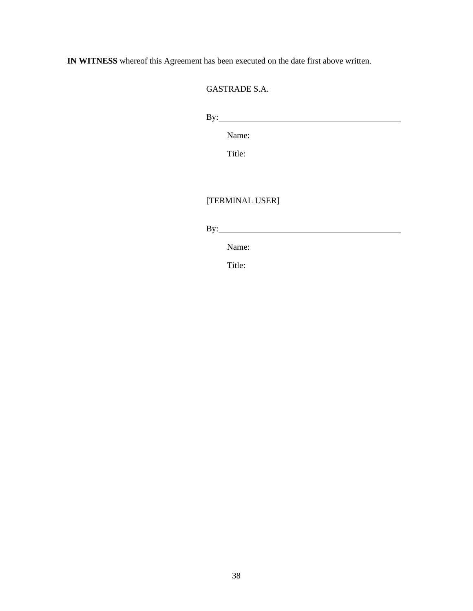**IN WITNESS** whereof this Agreement has been executed on the date first above written.

GASTRADE S.A.

By:

Name:

Title:

# [TERMINAL USER]

By:

Name:

Title: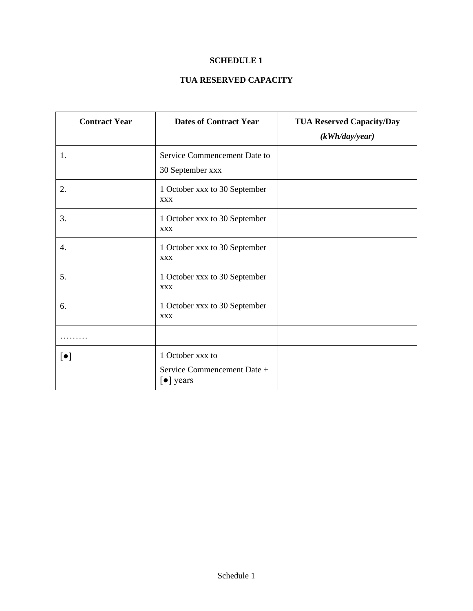# **SCHEDULE 1**

# **TUA RESERVED CAPACITY**

<span id="page-39-0"></span>

| <b>Contract Year</b>      | <b>Dates of Contract Year</b>                                                   | <b>TUA Reserved Capacity/Day</b><br>(kWh/day/year) |
|---------------------------|---------------------------------------------------------------------------------|----------------------------------------------------|
| 1.                        | Service Commencement Date to<br>30 September xxx                                |                                                    |
| 2.                        | 1 October xxx to 30 September<br><b>XXX</b>                                     |                                                    |
| 3.                        | 1 October xxx to 30 September<br><b>XXX</b>                                     |                                                    |
| 4.                        | 1 October xxx to 30 September<br><b>XXX</b>                                     |                                                    |
| 5.                        | 1 October xxx to 30 September<br><b>XXX</b>                                     |                                                    |
| 6.                        | 1 October xxx to 30 September<br><b>XXX</b>                                     |                                                    |
|                           |                                                                                 |                                                    |
| $\lbrack \bullet \rbrack$ | 1 October xxx to<br>Service Commencement Date +<br>$\left[\bullet\right]$ years |                                                    |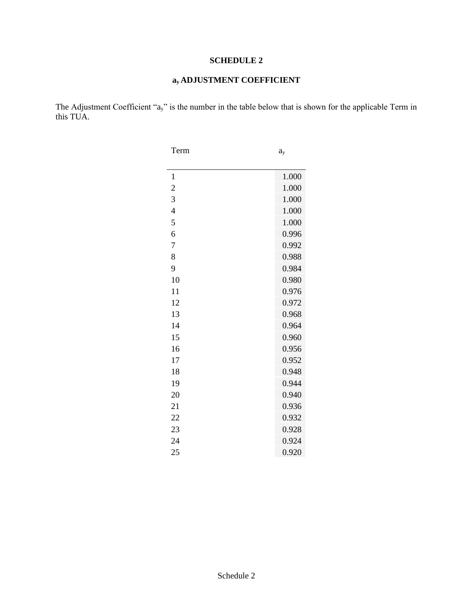# **SCHEDULE 2**

# **ay ADJUSTMENT COEFFICIENT**

The Adjustment Coefficient "ay" is the number in the table below that is shown for the applicable Term in this TUA.

| Term           | $a_{y}$ |
|----------------|---------|
|                |         |
| $\mathbf{1}$   | 1.000   |
| $\overline{c}$ | 1.000   |
| 3              | 1.000   |
| $\overline{4}$ | 1.000   |
| 5              | 1.000   |
| 6              | 0.996   |
| 7              | 0.992   |
| 8              | 0.988   |
| 9              | 0.984   |
| 10             | 0.980   |
| 11             | 0.976   |
| 12             | 0.972   |
| 13             | 0.968   |
| 14             | 0.964   |
| 15             | 0.960   |
| 16             | 0.956   |
| 17             | 0.952   |
| 18             | 0.948   |
| 19             | 0.944   |
| 20             | 0.940   |
| 21             | 0.936   |
| 22             | 0.932   |
| 23             | 0.928   |
| 24             | 0.924   |
| 25             | 0.920   |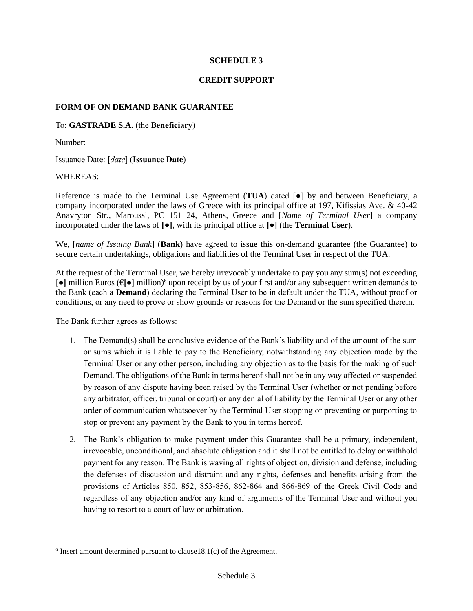#### **SCHEDULE 3**

### **CREDIT SUPPORT**

#### **FORM OF ON DEMAND BANK GUARANTEE**

### To: **GASTRADE S.A.** (the **Beneficiary**)

Number:

Issuance Date: [*date*] (**Issuance Date**)

#### WHEREAS:

Reference is made to the Terminal Use Agreement (**TUA**) dated [●] by and between Beneficiary, a company incorporated under the laws of Greece with its principal office at 197, Kifissias Ave. & 40-42 Anavryton Str., Maroussi, PC 151 24, Athens, Greece and [*Name of Terminal User*] a company incorporated under the laws of **[●]**, with its principal office at **[●]** (the **Terminal User**).

We, [*name of Issuing Bank*] (**Bank**) have agreed to issue this on-demand guarantee (the Guarantee) to secure certain undertakings, obligations and liabilities of the Terminal User in respect of the TUA.

At the request of the Terminal User, we hereby irrevocably undertake to pay you any sum(s) not exceeding **[●]** million Euros (€**[●]** million) <sup>6</sup> upon receipt by us of your first and/or any subsequent written demands to the Bank (each a **Demand**) declaring the Terminal User to be in default under the TUA, without proof or conditions, or any need to prove or show grounds or reasons for the Demand or the sum specified therein.

The Bank further agrees as follows:

- 1. The Demand(s) shall be conclusive evidence of the Bank's liability and of the amount of the sum or sums which it is liable to pay to the Beneficiary, notwithstanding any objection made by the Terminal User or any other person, including any objection as to the basis for the making of such Demand. The obligations of the Bank in terms hereof shall not be in any way affected or suspended by reason of any dispute having been raised by the Terminal User (whether or not pending before any arbitrator, officer, tribunal or court) or any denial of liability by the Terminal User or any other order of communication whatsoever by the Terminal User stopping or preventing or purporting to stop or prevent any payment by the Bank to you in terms hereof.
- 2. The Bank's obligation to make payment under this Guarantee shall be a primary, independent, irrevocable, unconditional, and absolute obligation and it shall not be entitled to delay or withhold payment for any reason. The Bank is waving all rights of objection, division and defense, including the defenses of discussion and distraint and any rights, defenses and benefits arising from the provisions of Articles 850, 852, 853-856, 862-864 and 866-869 of the Greek Civil Code and regardless of any objection and/or any kind of arguments of the Terminal User and without you having to resort to a court of law or arbitration.

 $6$  Insert amount determined pursuant to clause  $18.1(c)$  of the Agreement.